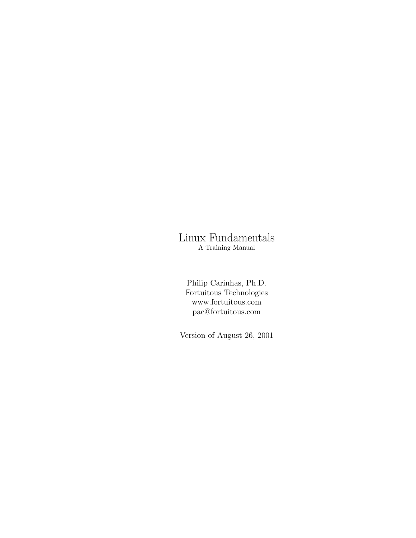### Linux Fundamentals A Training Manual

Philip Carinhas, Ph.D. Fortuitous Technologies www.fortuitous.com pac@fortuitous.com

Version of August 26, 2001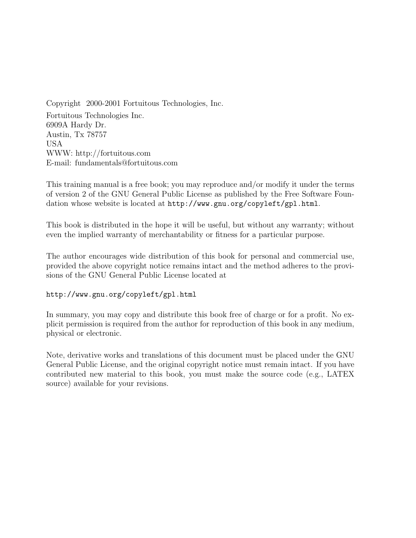Copyright 2000-2001 Fortuitous Technologies, Inc. Fortuitous Technologies Inc. 6909A Hardy Dr. Austin, Tx 78757 USA WWW: http://fortuitous.com E-mail: fundamentals@fortuitous.com

This training manual is a free book; you may reproduce and/or modify it under the terms of version 2 of the GNU General Public License as published by the Free Software Foundation whose website is located at http://www.gnu.org/copyleft/gpl.html.

This book is distributed in the hope it will be useful, but without any warranty; without even the implied warranty of merchantability or fitness for a particular purpose.

The author encourages wide distribution of this book for personal and commercial use, provided the above copyright notice remains intact and the method adheres to the provisions of the GNU General Public License located at

### http://www.gnu.org/copyleft/gpl.html

In summary, you may copy and distribute this book free of charge or for a profit. No explicit permission is required from the author for reproduction of this book in any medium, physical or electronic.

Note, derivative works and translations of this document must be placed under the GNU General Public License, and the original copyright notice must remain intact. If you have contributed new material to this book, you must make the source code (e.g., LATEX source) available for your revisions.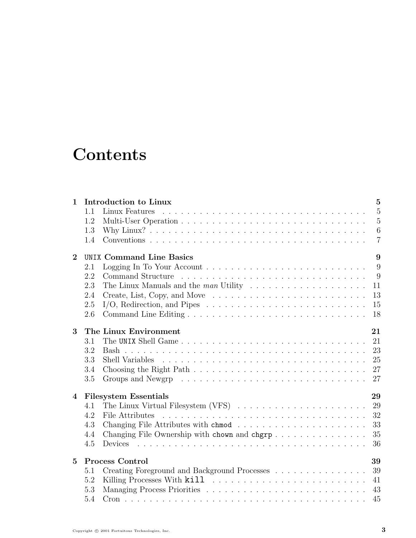# **Contents**

| $\mathbf 1$    |     | Introduction to Linux                                                                    | $\overline{5}$   |
|----------------|-----|------------------------------------------------------------------------------------------|------------------|
|                | 1.1 |                                                                                          | $\overline{5}$   |
|                | 1.2 |                                                                                          | $\overline{5}$   |
|                | 1.3 |                                                                                          | $\boldsymbol{6}$ |
|                | 1.4 |                                                                                          | $\overline{7}$   |
| $\overline{2}$ |     | <b>UNIX Command Line Basics</b>                                                          | 9                |
|                | 2.1 |                                                                                          | 9                |
|                | 2.2 |                                                                                          | 9                |
|                | 2.3 | The Linux Manuals and the man Utility $\ldots \ldots \ldots \ldots \ldots \ldots \ldots$ | 11               |
|                | 2.4 |                                                                                          | 13               |
|                | 2.5 |                                                                                          | 15               |
|                | 2.6 |                                                                                          | 18               |
| 3              |     | The Linux Environment                                                                    | 21               |
|                | 3.1 | The UNIX Shell Game                                                                      | 21               |
|                | 3.2 |                                                                                          | 23               |
|                | 3.3 |                                                                                          | 25               |
|                | 3.4 |                                                                                          | 27               |
|                | 3.5 |                                                                                          | 27               |
| $\overline{4}$ |     | <b>Filesystem Essentials</b>                                                             | 29               |
|                | 4.1 |                                                                                          | 29               |
|                | 4.2 | File Attributes                                                                          | 32               |
|                | 4.3 |                                                                                          | 33               |
|                | 4.4 | Changing File Ownership with chown and chgrp                                             | 35               |
|                | 4.5 |                                                                                          | 36               |
| 5              |     | <b>Process Control</b>                                                                   | 39               |
|                | 5.1 | Creating Foreground and Background Processes                                             | 39               |
|                | 5.2 |                                                                                          | 41               |
|                | 5.3 |                                                                                          | 43               |
|                | 5.4 |                                                                                          | 45               |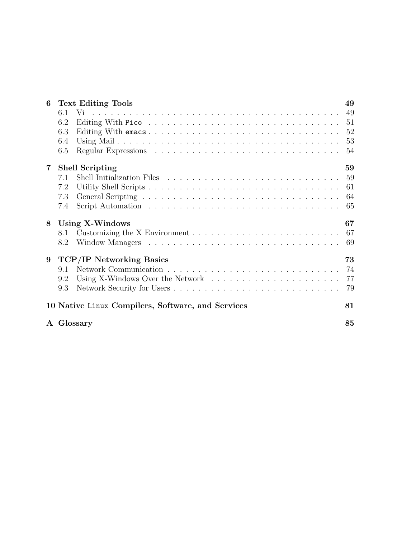| 6               | <b>Text Editing Tools</b>                                                                                 | 49  |
|-----------------|-----------------------------------------------------------------------------------------------------------|-----|
|                 | 6.1                                                                                                       |     |
|                 | 6.2                                                                                                       |     |
|                 | 6.3                                                                                                       |     |
|                 | 6.4                                                                                                       | 53  |
|                 | 6.5                                                                                                       | 54  |
| $7\overline{ }$ | <b>Shell Scripting</b>                                                                                    | 59  |
|                 | Shell Initialization Files $\ldots \ldots \ldots \ldots \ldots \ldots \ldots \ldots \ldots \ldots$<br>7.1 |     |
|                 | 7.2                                                                                                       | 61  |
|                 | 7.3                                                                                                       | 64  |
|                 | 7.4                                                                                                       | 65  |
| 8               | Using X-Windows                                                                                           | 67  |
|                 | 8.1                                                                                                       | 67  |
|                 | 8.2                                                                                                       | -69 |
| 9               | <b>TCP/IP Networking Basics</b>                                                                           | 73  |
|                 | 9.1                                                                                                       |     |
|                 | Using X-Windows Over the Network $\dots \dots \dots \dots \dots \dots \dots \dots$<br>9.2                 | 77  |
|                 | 9.3                                                                                                       | 79  |
|                 | 10 Native Linux Compilers, Software, and Services                                                         | 81  |
|                 | A Glossary                                                                                                | 85  |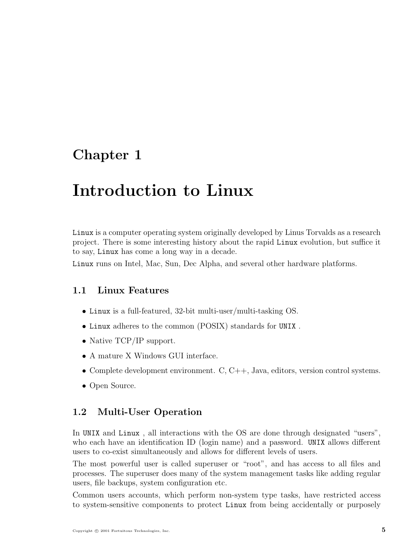## Chapter 1

# Introduction to Linux

Linux is a computer operating system originally developed by Linus Torvalds as a research project. There is some interesting history about the rapid Linux evolution, but suffice it to say, Linux has come a long way in a decade.

Linux runs on Intel, Mac, Sun, Dec Alpha, and several other hardware platforms.

### 1.1 Linux Features

- Linux is a full-featured, 32-bit multi-user/multi-tasking OS.
- Linux adheres to the common (POSIX) standards for UNIX .
- Native TCP/IP support.
- A mature X Windows GUI interface.
- Complete development environment. C, C++, Java, editors, version control systems.
- Open Source.

### 1.2 Multi-User Operation

In UNIX and Linux, all interactions with the OS are done through designated "users", who each have an identification ID (login name) and a password. UNIX allows different users to co-exist simultaneously and allows for different levels of users.

The most powerful user is called superuser or "root", and has access to all files and processes. The superuser does many of the system management tasks like adding regular users, file backups, system configuration etc.

Common users accounts, which perform non-system type tasks, have restricted access to system-sensitive components to protect Linux from being accidentally or purposely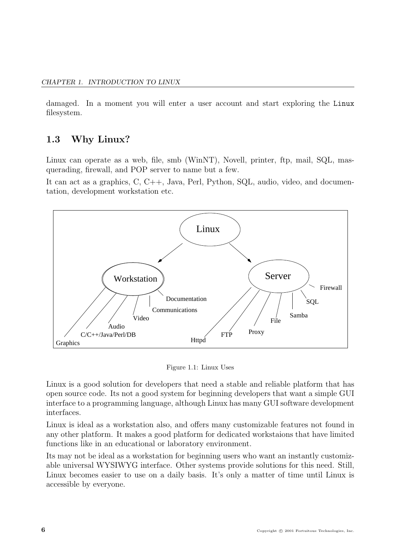damaged. In a moment you will enter a user account and start exploring the Linux filesystem.

### 1.3 Why Linux?

Linux can operate as a web, file, smb (WinNT), Novell, printer, ftp, mail, SQL, masquerading, firewall, and POP server to name but a few.

It can act as a graphics, C, C++, Java, Perl, Python, SQL, audio, video, and documentation, development workstation etc.



Figure 1.1: Linux Uses

Linux is a good solution for developers that need a stable and reliable platform that has open source code. Its not a good system for beginning developers that want a simple GUI interface to a programming language, although Linux has many GUI software development interfaces.

Linux is ideal as a workstation also, and offers many customizable features not found in any other platform. It makes a good platform for dedicated workstaions that have limited functions like in an educational or laboratory environment.

Its may not be ideal as a workstation for beginning users who want an instantly customizable universal WYSIWYG interface. Other systems provide solutions for this need. Still, Linux becomes easier to use on a daily basis. It's only a matter of time until Linux is accessible by everyone.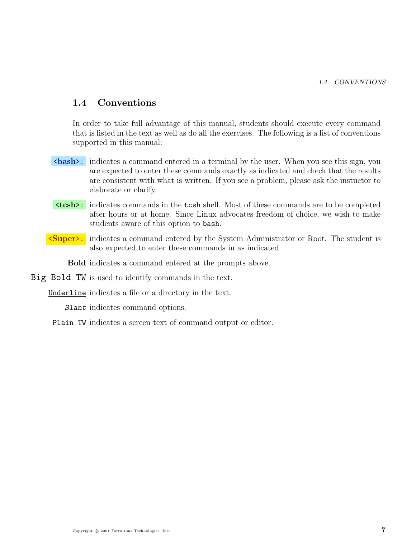### 1.4 Conventions

In order to take full advantage of this manual, students should execute every command that is listed in the text as well as do all the exercises. The following is a list of conventions supported in this manual:

- <bash>: indicates a command entered in a terminal by the user. When you see this sign, you are expected to enter these commands exactly as indicated and check that the results are consistent with what is written. If you see a problem, please ask the instuctor to elaborate or clarify.
- <tcsh>: indicates commands in the tcsh shell. Most of these commands are to be completed after hours or at home. Since Linux advocates freedom of choice, we wish to make students aware of this option to bash.
- **Super>:** indicates a command entered by the System Administrator or Root. The student is also expected to enter these commands in as indicated.

Bold indicates a command entered at the prompts above.

Big Bold TW is used to identify commands in the text.

Underline indicates a file or a directory in the text.

Slant indicates command options.

Plain TW indicates a screen text of command output or editor.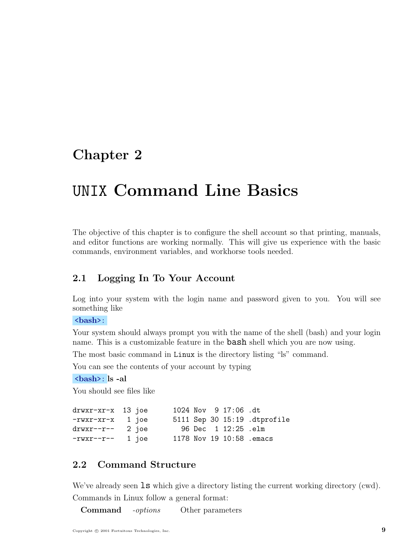## Chapter 2

# UNIX Command Line Basics

The objective of this chapter is to configure the shell account so that printing, manuals, and editor functions are working normally. This will give us experience with the basic commands, environment variables, and workhorse tools needed.

### 2.1 Logging In To Your Account

Log into your system with the login name and password given to you. You will see something like

<bash>:

Your system should always prompt you with the name of the shell (bash) and your login name. This is a customizable feature in the bash shell which you are now using.

The most basic command in Linux is the directory listing "ls" command.

You can see the contents of your account by typing

```
<bash>: ls -al
```
You should see files like

| drwxr-xr-x 13 joe |         | 1024 Nov 9 17:06 .dt     |                     |                              |
|-------------------|---------|--------------------------|---------------------|------------------------------|
| -rwxr-xr-x 1 joe  |         |                          |                     | 5111 Sep 30 15:19 .dtprofile |
| drwxr--r-- 2 joe  |         |                          | 96 Dec 1 12:25 .elm |                              |
| $-rwxr--r--$      | $1$ joe | 1178 Nov 19 10:58 .emacs |                     |                              |

### 2.2 Command Structure

We've already seen  $ls$  which give a directory listing the current working directory (cwd). Commands in Linux follow a general format:

Command *-options* Other parameters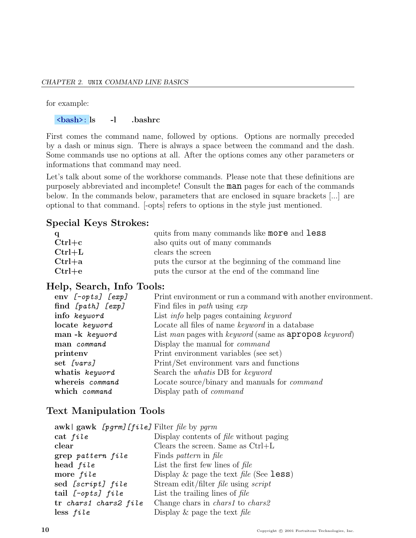for example:

#### <bash>: ls -l .bashrc

First comes the command name, followed by options. Options are normally preceded by a dash or minus sign. There is always a space between the command and the dash. Some commands use no options at all. After the options comes any other parameters or informations that command may need.

Let's talk about some of the workhorse commands. Please note that these definitions are purposely abbreviated and incomplete! Consult the man pages for each of the commands below. In the commands below, parameters that are enclosed in square brackets [...] are optional to that command. [-opts] refers to options in the style just mentioned.

### Special Keys Strokes:

| $\alpha$   | quits from many commands like more and less          |
|------------|------------------------------------------------------|
| $Ctrl + c$ | also quits out of many commands                      |
| $Ctrl+L$   | clears the screen                                    |
| $Ctrl + a$ | puts the cursor at the beginning of the command line |
| $Ctrl + e$ | puts the cursor at the end of the command line       |

### Help, Search, Info Tools:

| $env$ [-opts] [ $exp$ ] | Print environment or run a command with another environment. |
|-------------------------|--------------------------------------------------------------|
| find [path] [exp]       | Find files in <i>path</i> using <i>exp</i>                   |
| info keyword            | List <i>info</i> help pages containing <i>keyword</i>        |
| locate keyword          | Locate all files of name keyword in a database               |
| man -k keyword          | List man pages with keyword (same as apropos keyword)        |
| man command             | Display the manual for <i>command</i>                        |
| printeny                | Print environment variables (see set)                        |
| set [vars]              | Print/Set environment vars and functions                     |
| whatis keyword          | Search the <i>whatis</i> DB for <i>keyword</i>               |
| whereis command         | Locate source/binary and manuals for <i>command</i>          |
| which command           | Display path of <i>command</i>                               |
|                         |                                                              |

### Text Manipulation Tools

| awk $[pgrm]$ [file] Filter file by pgrm |                                                |
|-----------------------------------------|------------------------------------------------|
| cat $file$                              | Display contents of <i>file</i> without paging |
| clear                                   | Clears the screen. Same as $Ctrl+L$            |
| grep pattern file                       | Finds <i>pattern</i> in file                   |
| head file                               | List the first few lines of $file$             |
| more file                               | Display & page the text $file$ (See less)      |
| sed [script] file                       | Stream edit/filter file using script           |
| tail $[-opts]$ file                     | List the trailing lines of $file$              |
| tr chars1 chars2 file                   | Change chars in <i>chars1</i> to <i>chars2</i> |
| $less$ file                             | Display $\&$ page the text file                |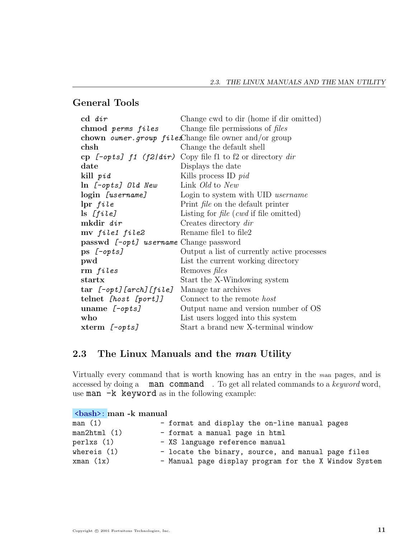### General Tools

| $\mathrm{cd}$ dir                               | Change cwd to dir (home if dir omitted)                             |
|-------------------------------------------------|---------------------------------------------------------------------|
| chmod perms files                               | Change file permissions of <i>files</i>                             |
|                                                 | chown owner.group files $\mathcal{L}$ hange file owner and/or group |
| chsh                                            | Change the default shell                                            |
| $\mathop{\rm cp}$ [-opts] $f1$ ( $f2$ ) $dir$ ) | Copy file f1 to f2 or directory $\operatorname{dir}$                |
| date                                            | Displays the date                                                   |
| kill pid                                        | Kills process ID <i>pid</i>                                         |
| $\ln$ [-opts] Old New                           | Link <i>Old</i> to New                                              |
| login [username]                                | Login to system with UID <i>username</i>                            |
| $\text{lpr } file$                              | Print <i>file</i> on the default printer                            |
| $ls$ [file]                                     | Listing for $file$ ( <i>cwd</i> if file omitted)                    |
| mkdir dir                                       | Creates directory dir                                               |
| mv file1 file2                                  | Rename file1 to file2                                               |
| <b>passwd</b> [-opt] username Change password   |                                                                     |
| $ps$ [-opts]                                    | Output a list of currently active processes                         |
| pwd                                             | List the current working directory                                  |
| rm files                                        | Removes files                                                       |
| startx                                          | Start the X-Windowing system                                        |
| $\text{tar}$ [-opt] [arch] [file]               | Manage tar archives                                                 |
| telnet [host [port]]                            | Connect to the remote <i>host</i>                                   |
| uname $[-opts]$                                 | Output name and version number of OS                                |
| who                                             | List users logged into this system                                  |
| $xterm$ [-opts]                                 | Start a brand new X-terminal window                                 |

### 2.3 The Linux Manuals and the man Utility

Virtually every command that is worth knowing has an entry in the man pages, and is accessed by doing a **man command** . To get all related commands to a keyword word, use man  $-k$  keyword as in the following example:

#### <bash>: man -k manual

| man (1)     | - format and display the on-line manual pages         |
|-------------|-------------------------------------------------------|
| man2html(1) | - format a manual page in html                        |
| perlxs (1)  | - XS language reference manual                        |
| whereis (1) | - locate the binary, source, and manual page files    |
| xman (1x)   | - Manual page display program for the X Window System |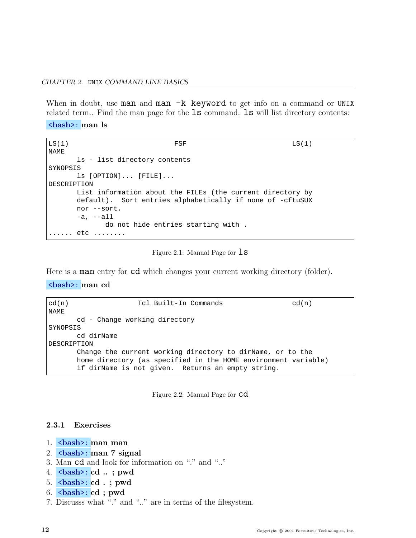When in doubt, use **man** and **man**  $-k$  keyword to get info on a command or UNIX related term.. Find the man page for the 1s command. 1s will list directory contents:

<bash>: man ls

```
\text{LS}(1) FSF LS(1)
NAME
      ls - list directory contents
SYNOPSIS
      ls [OPTION]... [FILE]...
DESCRIPTION
      List information about the FILEs (the current directory by
      default). Sort entries alphabetically if none of -cftuSUX
      nor --sort.
      -a, -a11do not hide entries starting with .
...... etc ........
```
Figure 2.1: Manual Page for  $\text{ls}$ 

Here is a man entry for cd which changes your current working directory (folder).

#### <bash>: man cd

cd(n) Tcl Built-In Commands cd(n) NAME cd - Change working directory SYNOPSIS cd dirName DESCRIPTION Change the current working directory to dirName, or to the home directory (as specified in the HOME environment variable) if dirName is not given. Returns an empty string.

Figure 2.2: Manual Page for cd

### 2.3.1 Exercises

- 1. **ash>: man man**
- 2.  $\langle$ bash>: man 7 signal
- 3. Man cd and look for information on "." and ".."
- 4.  $\langle$ bash>: cd ..; pwd
- 5.  $\langle$ bash>: cd . ; pwd
- $6.$  <br/>bash>: cd ; pwd
- 7. Discusss what "." and ".." are in terms of the filesystem.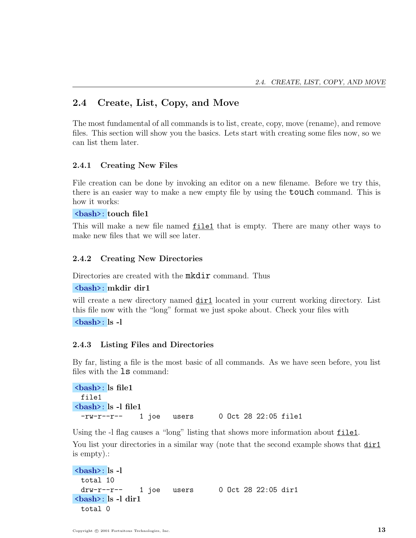### 2.4 Create, List, Copy, and Move

The most fundamental of all commands is to list, create, copy, move (rename), and remove files. This section will show you the basics. Lets start with creating some files now, so we can list them later.

### 2.4.1 Creating New Files

File creation can be done by invoking an editor on a new filename. Before we try this, there is an easier way to make a new empty file by using the touch command. This is how it works:

#### <bash>: touch file1

This will make a new file named **file1** that is empty. There are many other ways to make new files that we will see later.

### 2.4.2 Creating New Directories

Directories are created with the **mkdir** command. Thus

#### <bash>: mkdir dir1

will create a new directory named  $\text{dir1 located}$  in your current working directory. List this file now with the "long" format we just spoke about. Check your files with

<bash>: ls -l

#### 2.4.3 Listing Files and Directories

By far, listing a file is the most basic of all commands. As we have seen before, you list files with the ls command:

```
<bash>: ls file1
 file1
<bash>: ls -l file1
 -rw-r--r-- 1 joe users 0 Oct 28 22:05 file1
```
Using the -l flag causes a "long" listing that shows more information about file1.

You list your directories in a similar way (note that the second example shows that  $\text{dir1}$ is empty).:

```
<bash>: ls -l
 total 10
 drw-r--r-- 1 joe users 0 Oct 28 22:05 dir1
\langlebash>: ls -l dir1
 total 0
```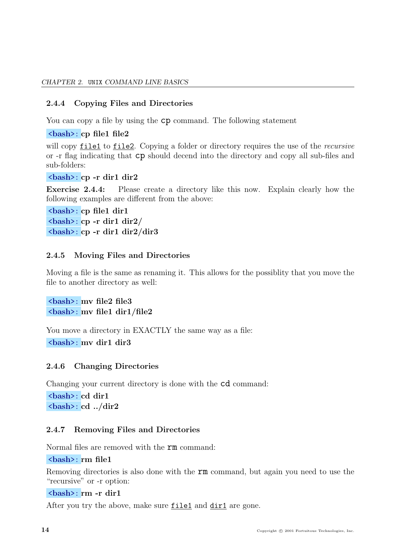### 2.4.4 Copying Files and Directories

You can copy a file by using the  $cp$  command. The following statement

### <bash>: cp file1 file2

will copy file1 to file2. Copying a folder or directory requires the use of the *recursive* or -r flag indicating that cp should decend into the directory and copy all sub-files and sub-folders:

### <bash>: cp -r dir1 dir2

Exercise 2.4.4: Please create a directory like this now. Explain clearly how the following examples are different from the above:

<bash>: cp file1 dir1  $\langle$ bash>: cp -r dir1 dir2/ <bash>: cp -r dir1 dir2/dir3

### 2.4.5 Moving Files and Directories

Moving a file is the same as renaming it. This allows for the possiblity that you move the file to another directory as well:

<bash>: mv file2 file3 <bash>: mv file1 dir1/file2

You move a directory in EXACTLY the same way as a file: <bash>: mv dir1 dir3

### 2.4.6 Changing Directories

Changing your current directory is done with the cd command:

<bash>: cd dir1  $\langle$ bash>: cd ../dir2

### 2.4.7 Removing Files and Directories

Normal files are removed with the  $rm$  command:

### <bash>: rm file1

Removing directories is also done with the rm command, but again you need to use the "recursive" or -r option:

#### <bash>: rm -r dir1

After you try the above, make sure **file1** and **dir1** are gone.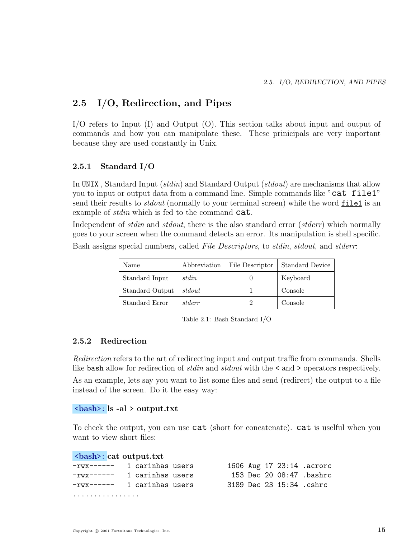### 2.5 I/O, Redirection, and Pipes

I/O refers to Input (I) and Output (O). This section talks about input and output of commands and how you can manipulate these. These prinicipals are very important because they are used constantly in Unix.

### 2.5.1 Standard I/O

In UNIX , Standard Input *(stdin)* and Standard Output *(stdout)* are mechanisms that allow you to input or output data from a command line. Simple commands like "cat file1" send their results to *stdout* (normally to your terminal screen) while the word file1 is an example of *stdin* which is fed to the command  $cat.$ 

Independent of *stdin* and *stdout*, there is the also standard error (*stderr*) which normally goes to your screen when the command detects an error. Its manipulation is shell specific. Bash assigns special numbers, called File Descriptors, to stdin, stdout, and stderr:

| Name            | Abbreviation | File Descriptor | <b>Standard Device</b> |
|-----------------|--------------|-----------------|------------------------|
| Standard Input  | stdin        |                 | Keyboard               |
| Standard Output | stdout       |                 | Console                |
| Standard Error  | stderr       |                 | Console                |

Table 2.1: Bash Standard I/O

### 2.5.2 Redirection

Redirection refers to the art of redirecting input and output traffic from commands. Shells like bash allow for redirection of *stdin* and *stdout* with the  $\leq$  and  $\geq$  operators respectively.

As an example, lets say you want to list some files and send (redirect) the output to a file instead of the screen. Do it the easy way:

#### <bash>: ls -al > output.txt

To check the output, you can use cat (short for concatenate). cat is uselful when you want to view short files:

#### <bash>: cat output.txt

|   | $-rwx-----$ 1 carinhas users  | 1606 Aug 17 23:14 .acrorc |
|---|-------------------------------|---------------------------|
|   | $-rwx-----$ 1 carinhas users  | 153 Dec 20 08:47 .bashrc  |
|   | $-rwx---- = 1 carinhas users$ | 3189 Dec 23 15:34 .cshrc  |
| . |                               |                           |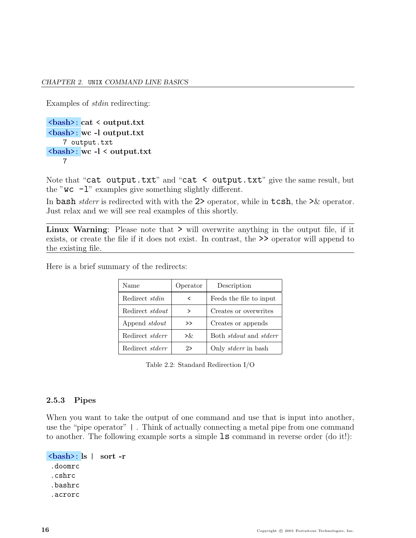Examples of stdin redirecting:

```
<bash>: cat < output.txt
<bash>: wc -l output.txt
   7 output.txt
<bash>: wc -l < output.txt
   7
```
Note that "cat output.txt" and "cat < output.txt" give the same result, but the " $\texttt{wc}$  -l" examples give something slightly different.

In bash *stderr* is redirected with with the  $2$  operator, while in  $tcsh$ , the  $\&$  operator. Just relax and we will see real examples of this shortly.

Linux Warning: Please note that  $\geq$  will overwrite anything in the output file, if it exists, or create the file if it does not exist. In contrast, the  $\geq$  operator will append to the existing file.

Here is a brief summary of the redirects:

| Name                   | Operator      | Description                          |
|------------------------|---------------|--------------------------------------|
| Redirect <i>stdin</i>  | ≺             | Feeds the file to input              |
| Redirect <i>stdout</i> |               | Creates or overwrites                |
| Append <i>stdout</i>   | $\rightarrow$ | Creates or appends                   |
| Redirect <i>stderr</i> | >&            | Both <i>stdout</i> and <i>stderr</i> |
| Redirect <i>stderr</i> | 2>            | Only <i>stderr</i> in bash           |

Table 2.2: Standard Redirection I/O

### 2.5.3 Pipes

When you want to take the output of one command and use that is input into another, use the "pipe operator" | . Think of actually connecting a metal pipe from one command to another. The following example sorts a simple **1s** command in reverse order (do it!):

```
<bash>: ls | sort -r
.doomrc
.cshrc
.bashrc
.acrorc
```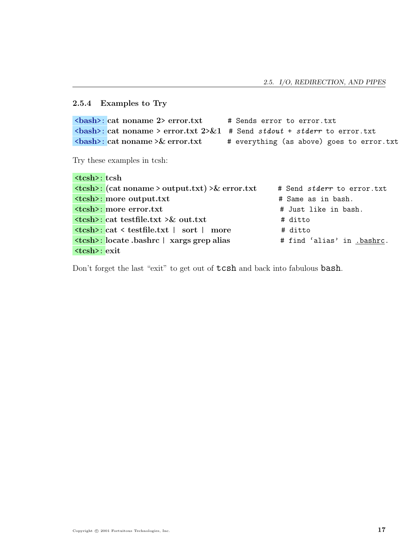### 2.5.4 Examples to Try

| $\langle$ bash>: cat noname 2> error.txt  | # Sends error to error.txt                                                           |
|-------------------------------------------|--------------------------------------------------------------------------------------|
|                                           | $\{\text{bash}\}\$ : cat noname > error.txt 2>&1 # Send stdout + stderr to error.txt |
| $\langle$ bash>: cat noname > & error.txt | # everything (as above) goes to error.txt                                            |

Try these examples in tcsh:

| $<$ tcsh $>:$ tcsh |                                                                  |                            |
|--------------------|------------------------------------------------------------------|----------------------------|
|                    | $\langle tcsh \rangle$ : (cat noname > output.txt) > & error.txt | # Send stderr to error.txt |
|                    | <tcsh>: more output.txt</tcsh>                                   | # Same as in bash.         |
|                    | $cs$ : more error.txt                                            | # Just like in bash.       |
|                    | $\langle t \cdot \rangle$ : cat testfile.txt > & out.txt         | # ditto                    |
|                    |                                                                  | # ditto                    |
|                    | $\langle t \text{csh}\rangle$ : locate bashrc   xargs grep alias | # find 'alias' in .bashrc. |
| $<$ tcsh>: exit    |                                                                  |                            |

Don't forget the last "exit" to get out of tcsh and back into fabulous bash.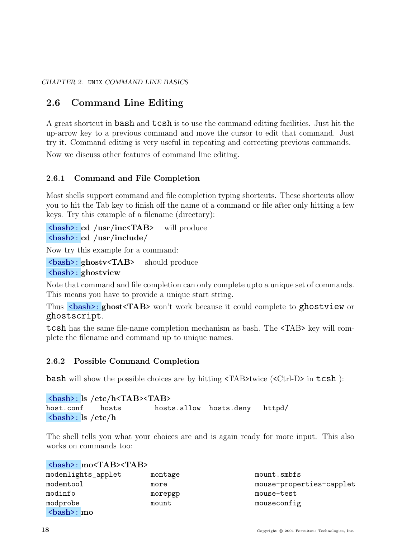### 2.6 Command Line Editing

A great shortcut in bash and tcsh is to use the command editing facilities. Just hit the up-arrow key to a previous command and move the cursor to edit that command. Just try it. Command editing is very useful in repeating and correcting previous commands.

Now we discuss other features of command line editing.

### 2.6.1 Command and File Completion

Most shells support command and file completion typing shortcuts. These shortcuts allow you to hit the Tab key to finish off the name of a command or file after only hitting a few keys. Try this example of a filename (directory):

<bash>: cd /usr/inc<TAB> will produce <bash>: cd /usr/include/

Now try this example for a command:

<bash>: ghostv<TAB> should produce

<bash>: ghostview

Note that command and file completion can only complete upto a unique set of commands. This means you have to provide a unique start string.

Thus <br/> <br/>shash>: ghost<TAB> won't work because it could complete to ghost<br/>view or ghostscript.

tcsh has the same file-name completion mechanism as bash. The <TAB> key will complete the filename and command up to unique names.

### 2.6.2 Possible Command Completion

bash will show the possible choices are by hitting <TAB>twice (<Ctrl-D> in tcsh ):

<bash>: ls /etc/h<TAB><TAB>

host.conf hosts hosts.allow hosts.deny httpd/ <bash>: ls /etc/h

The shell tells you what your choices are and is again ready for more input. This also works on commands too:

### <bash>: mo<TAB><TAB>

| modemlights_applet  | montage | mount.smbfs              |
|---------------------|---------|--------------------------|
| modemtool           | more    | mouse-properties-capplet |
| modinfo             | morepgp | mouse-test               |
| modprobe            | mount   | mouseconfig              |
| $\langle$ bash>: mo |         |                          |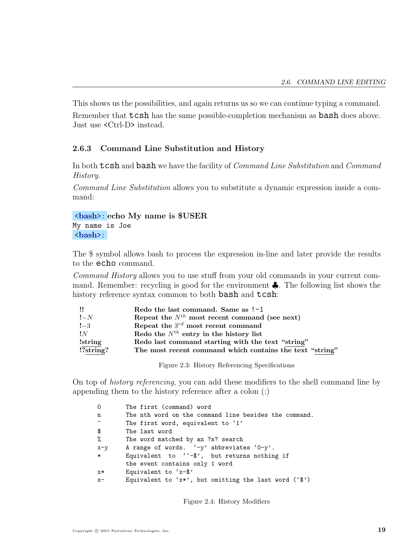This shows us the possibilities, and again returns us so we can continue typing a command. Remember that  $tcsh$  has the same possible-completion mechanism as **bash** does above. Just use <Ctrl-D> instead.

### 2.6.3 Command Line Substitution and History

In both **tcsh** and **bash** we have the facility of *Command Line Substitution* and *Command* History.

Command Line Substitution allows you to substitute a dynamic expression inside a command:

### <bash>: echo My name is \$USER My name is Joe <bash>:

The \$ symbol allows bash to process the expression in-line and later provide the results to the echo command.

Command History allows you to use stuff from your old commands in your current command. Remember: recycling is good for the environment ♣. The following list shows the history reference syntax common to both **bash** and **tcsh**:

| -11                        | Redo the last command. Same as !-1                       |
|----------------------------|----------------------------------------------------------|
| $! - N$                    | Repeat the $N^{th}$ most recent command (see next)       |
| $! -3$                     | Repeat the $3^{rd}$ most recent command                  |
| !N                         | Redo the $N^{th}$ entry in the history list              |
| !string                    | Redo last command starting with the text "string"        |
| $\sqrt{? \text{string}}$ ? | The most recent command which contains the text "string" |

Figure 2.3: History Referencing Specifications

On top of history referencing, you can add these modifiers to the shell command line by appending them to the history reference after a colon (:)

| $\Omega$ | The first (command) word                                                 |
|----------|--------------------------------------------------------------------------|
| n        | The nth word on the command line besides the command.                    |
|          | The first word, equivalent to '1'                                        |
| \$       | The last word                                                            |
| %        | The word matched by an ?s? search                                        |
| $x-y$    | A range of words. $(-y)$ abbreviates $(0-y)$ .                           |
| $\ast$   | Equivalent to $\text{``--}\$ , but returns nothing if                    |
|          | the event contains only 1 word                                           |
| x*       | Equivalent to $x-\$                                                      |
| $x-$     | Equivalent to ' $x^*$ ', but omitting the last word (' $\mathcal{F}'$ ') |

Figure 2.4: History Modifiers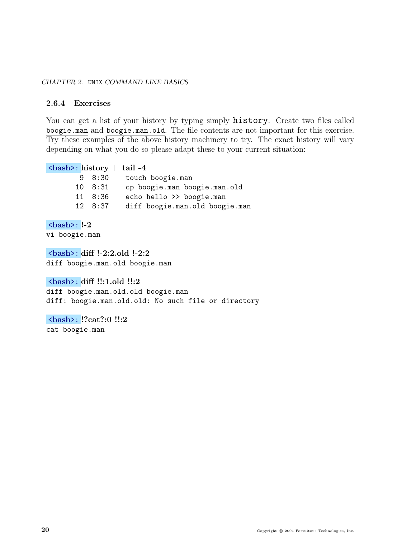#### 2.6.4 Exercises

You can get a list of your history by typing simply **history**. Create two files called boogie.man and boogie.man.old. The file contents are not important for this exercise. Try these examples of the above history machinery to try. The exact history will vary depending on what you do so please adapt these to your current situation:

<bash>: history | tail -4 9 8:30 touch boogie.man 10 8:31 cp boogie.man boogie.man.old 11 8:36 echo hello >> boogie.man 12 8:37 diff boogie.man.old boogie.man

<bash>: !-2

vi boogie.man

<bash>: diff !-2:2.old !-2:2 diff boogie.man.old boogie.man

<bash>: diff !!:1.old !!:2 diff boogie.man.old.old boogie.man diff: boogie.man.old.old: No such file or directory

<bash>: !?cat?:0 !!:2 cat boogie.man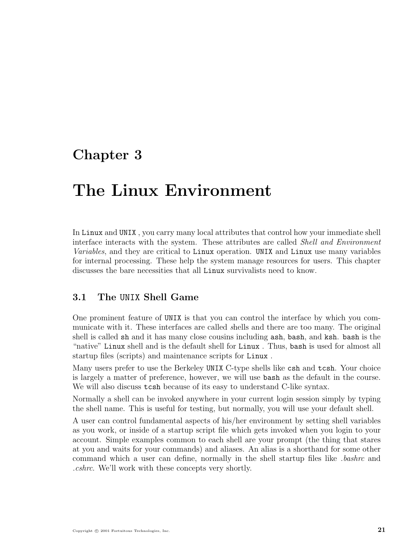## Chapter 3

## The Linux Environment

In Linux and UNIX , you carry many local attributes that control how your immediate shell interface interacts with the system. These attributes are called Shell and Environment Variables, and they are critical to Linux operation. UNIX and Linux use many variables for internal processing. These help the system manage resources for users. This chapter discusses the bare necessities that all Linux survivalists need to know.

### 3.1 The UNIX Shell Game

One prominent feature of UNIX is that you can control the interface by which you communicate with it. These interfaces are called shells and there are too many. The original shell is called sh and it has many close cousins including ash, bash, and ksh. bash is the "native" Linux shell and is the default shell for Linux . Thus, bash is used for almost all startup files (scripts) and maintenance scripts for Linux .

Many users prefer to use the Berkeley UNIX C-type shells like csh and tcsh. Your choice is largely a matter of preference, however, we will use bash as the default in the course. We will also discuss  $\text{tcsh}$  because of its easy to understand C-like syntax.

Normally a shell can be invoked anywhere in your current login session simply by typing the shell name. This is useful for testing, but normally, you will use your default shell.

A user can control fundamental aspects of his/her environment by setting shell variables as you work, or inside of a startup script file which gets invoked when you login to your account. Simple examples common to each shell are your prompt (the thing that stares at you and waits for your commands) and aliases. An alias is a shorthand for some other command which a user can define, normally in the shell startup files like *bashrc* and .cshrc. We'll work with these concepts very shortly.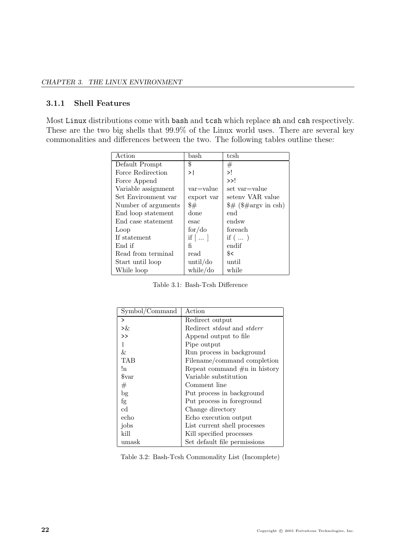### 3.1.1 Shell Features

Most Linux distributions come with bash and tcsh which replace sh and csh respectively. These are the two big shells that 99.9% of the Linux world uses. There are several key commonalities and differences between the two. The following tables outline these:

| Action              | bash                           | tcsh                           |
|---------------------|--------------------------------|--------------------------------|
| Default Prompt      | \$                             | #                              |
| Force Redirection   | > l                            | >!                             |
| Force Append        |                                | >>!                            |
| Variable assignment | var=value                      | set var=value                  |
| Set Environment var | export var                     | seteny VAR value               |
| Number of arguments | $\frac{1}{2}$                  | $\frac{1}{2}$ (\$#argv in csh) |
| End loop statement  | done                           | end                            |
| End case statement  | esac                           | endsw                          |
| Loop                | $\frac{\text{for}}{\text{do}}$ | foreach                        |
| If statement        | if $\left[\ldots\right]$       | if $(\ldots)$                  |
| End if              | fi                             | endif                          |
| Read from terminal  | read                           | \$<                            |
| Start until loop    | $\text{until}/\text{do}$       | until                          |
| While loop          | $\text{while}/\text{do}$       | while                          |

Table 3.1: Bash-Tcsh Difference

| Symbol/Command | Action                                   |
|----------------|------------------------------------------|
| $\mathbf{r}$   | Redirect output                          |
| >&             | Redirect <i>stdout</i> and <i>stderr</i> |
| $\rightarrow$  | Append output to file                    |
|                | Pipe output                              |
| &.             | Run process in background                |
| <b>TAB</b>     | Filename/command completion              |
| !n             | Repeat command $\#n$ in history          |
| Svar           | Variable substitution                    |
| #              | Comment line                             |
| $\log$         | Put process in background                |
| fg             | Put process in foreground                |
| $_{\rm cd}$    | Change directory                         |
| echo           | Echo execution output                    |
| jobs           | List current shell processes             |
| kill           | Kill specified processes                 |
| umask          | Set default file permissions             |

Table 3.2: Bash-Tcsh Commonality List (Incomplete)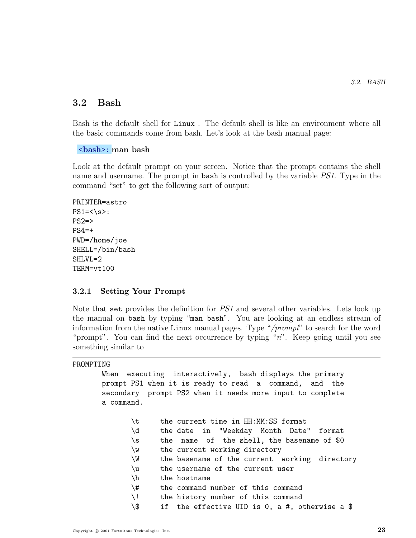### 3.2 Bash

Bash is the default shell for Linux . The default shell is like an environment where all the basic commands come from bash. Let's look at the bash manual page:

### <bash>: man bash

Look at the default prompt on your screen. Notice that the prompt contains the shell name and username. The prompt in bash is controlled by the variable PS1. Type in the command "set" to get the following sort of output:

```
PRINTER=astro
PS1=<\s:
PS2=>
PS4=+PWD=/home/joe
SHELL=/bin/bash
SHLVL=2
TERM=vt100
```
### 3.2.1 Setting Your Prompt

Note that set provides the definition for *PS1* and several other variables. Lets look up the manual on bash by typing "man bash". You are looking at an endless stream of information from the native Linux manual pages. Type "/prompt" to search for the word "prompt". You can find the next occurrence by typing "n". Keep going until you see something similar to

```
PROMPTING
```
When executing interactively, bash displays the primary prompt PS1 when it is ready to read a command, and the secondary prompt PS2 when it needs more input to complete a command.

| \t             | the current time in HH:MM:SS format            |
|----------------|------------------------------------------------|
| $\mathcal{A}$  | the date in "Weekday Month Date" format        |
| \s             | the name of the shell, the basename of \$0     |
| $\sqrt{M}$     | the current working directory                  |
| $\vee$         | the basename of the current working directory  |
| \u             | the username of the current user               |
| $\hbar$        | the hostname                                   |
| $\backslash$ # | the command number of this command             |
| \!             | the history number of this command             |
| \\$            | if the effective UID is 0, a #, otherwise a \$ |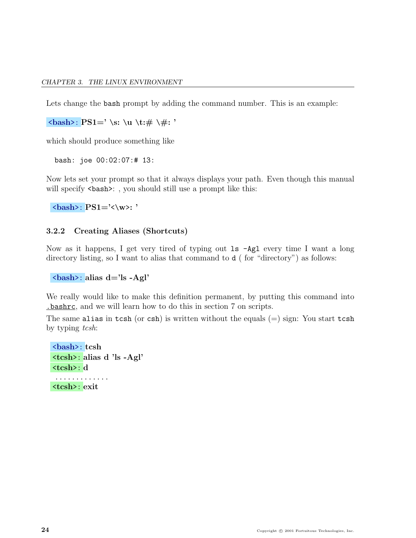Lets change the bash prompt by adding the command number. This is an example:

 $\{\$ {bash}{\colon} \PS1 =' \succeq \u \t\t\iff \forall \#: '

which should produce something like

bash: joe 00:02:07:# 13:

Now lets set your prompt so that it always displays your path. Even though this manual will specify  $\delta$  should still use a prompt like this:

 $\langle$ bash>: PS1=' $\langle \forall w \rangle$ : '

### 3.2.2 Creating Aliases (Shortcuts)

Now as it happens, I get very tired of typing out  $ls$  -Agl every time I want a long directory listing, so I want to alias that command to  $d$  (for "directory") as follows:

 $\langle$ bash>: alias d='ls -Agl'

We really would like to make this definition permanent, by putting this command into .bashrc, and we will learn how to do this in section 7 on scripts.

The same alias in tcsh (or csh) is written without the equals  $(=)$  sign: You start tcsh by typing tcsh:

```
<bash>: tcsh
<tcsh>: alias d 'ls -Agl'
<tcsh>: d
.............
<tcsh>: exit
```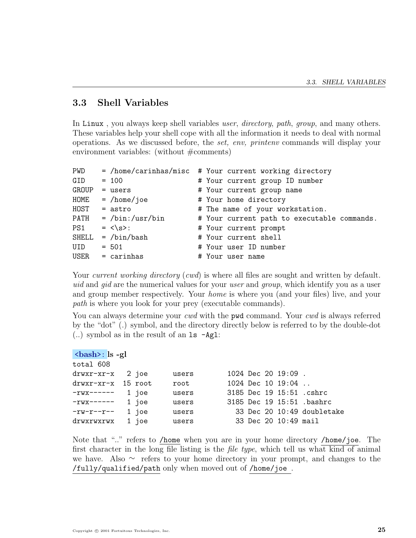### 3.3 Shell Variables

In Linux, you always keep shell variables *user, directory, path, group*, and many others. These variables help your shell cope with all the information it needs to deal with normal operations. As we discussed before, the set, env, printenv commands will display your environment variables: (without #comments)

| PWD   |                        | = /home/carinhas/misc # Your current working directory |
|-------|------------------------|--------------------------------------------------------|
| GID   | $= 100$                | # Your current group ID number                         |
| GROUP | $=$ users              | # Your current group name                              |
| HOME  | $= /home/joe$          | # Your home directory                                  |
|       | $HOST = astro$         | # The name of your workstation.                        |
|       | $PATH = /bin:/usr/bin$ | # Your current path to executable commands.            |
|       |                        | # Your current prompt                                  |
|       | SHELL = $/bin/bash$    | # Your current shell                                   |
| UID   | $= 501$                | # Your user ID number                                  |
|       | $USER = carinhas$      | # Your user name                                       |

Your *current working directory* (*cwd*) is where all files are sought and written by default. uid and gid are the numerical values for your user and group, which identify you as a user and group member respectively. Your *home* is where you (and your files) live, and your path is where you look for your prey (executable commands).

You can always determine your *cwd* with the **pwd** command. Your *cwd* is always referred by the "dot" (.) symbol, and the directory directly below is referred to by the double-dot  $\ldots$  symbol as in the result of an  $ls$  -Agl:

| $\langle$ bash>: $\vert$ s -gl         |  |       |  |                      |                            |
|----------------------------------------|--|-------|--|----------------------|----------------------------|
| total 608                              |  |       |  |                      |                            |
| $drwxr-xr-x$ 2 joe                     |  | users |  | 1024 Dec 20 19:09.   |                            |
| drwxr-xr-x 15 root                     |  | root  |  | 1024 Dec 10 19:04    |                            |
| $-rwx----- 1$ joe                      |  | users |  |                      | 3185 Dec 19 15:51 .cshrc   |
| $-rwx----- 1$ joe                      |  | users |  |                      | 3185 Dec 19 15:51 .bashrc  |
| $-\text{rw}-\text{r}--\text{r}--1$ joe |  | users |  |                      | 33 Dec 20 10:49 doubletake |
| drwxrwxrwx 1 joe                       |  | users |  | 33 Dec 20 10:49 mail |                            |

Note that ".." refers to /home when you are in your home directory /home/joe. The first character in the long file listing is the file type, which tell us what kind of animal we have. Also ∼ refers to your home directory in your prompt, and changes to the /fully/qualified/path only when moved out of /home/joe .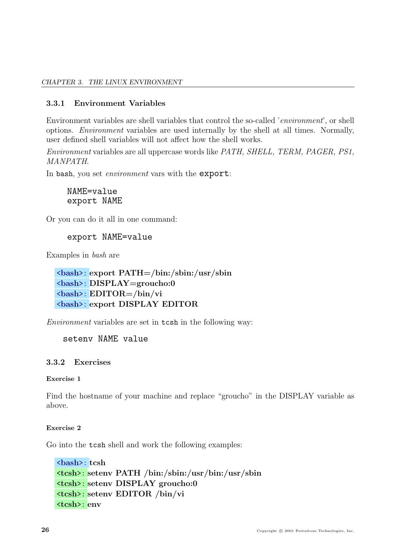### 3.3.1 Environment Variables

Environment variables are shell variables that control the so-called 'environment', or shell options. Environment variables are used internally by the shell at all times. Normally, user defined shell variables will not affect how the shell works.

Environment variables are all uppercase words like PATH, SHELL, TERM, PAGER, PS1, MANPATH.

In bash, you set *environment* vars with the **export**:

```
NAME=value
export NAME
```
Or you can do it all in one command:

export NAME=value

Examples in bash are

```
<bash>: export PATH=/bin:/sbin:/usr/sbin
<bash>: DISPLAY=groucho:0
<bash>: EDITOR=/bin/vi
<bash>: export DISPLAY EDITOR
```
Environment variables are set in tcsh in the following way:

setenv NAME value

#### 3.3.2 Exercises

Exercise 1

Find the hostname of your machine and replace "groucho" in the DISPLAY variable as above.

#### Exercise 2

Go into the tcsh shell and work the following examples:

```
<bash>: tcsh
<tcsh>: setenv PATH /bin:/sbin:/usr/bin:/usr/sbin
<tcsh>: setenv DISPLAY groucho:0
<tcsh>: setenv EDITOR /bin/vi
<tcsh>: env
```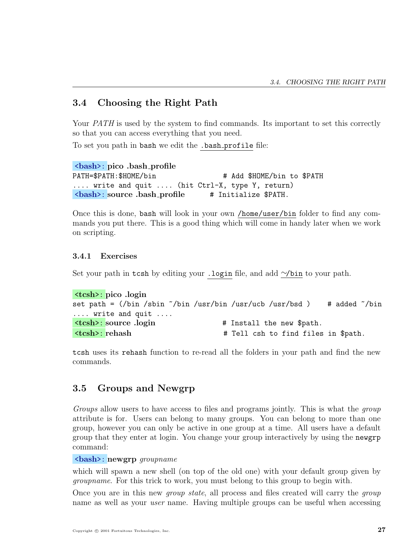### 3.4 Choosing the Right Path

Your *PATH* is used by the system to find commands. Its important to set this correctly so that you can access everything that you need.

To set you path in bash we edit the .bash profile file:

```
<bash>: pico .bash profile
```

```
PATH=$PATH:$HOME/bin # Add $HOME/bin to $PATH
.... write and quit .... (hit Ctrl-X, type Y, return)
\langlebash>: source .bash_profile # Initialize $PATH.
```
Once this is done, bash will look in your own /home/user/bin folder to find any commands you put there. This is a good thing which will come in handy later when we work on scripting.

#### 3.4.1 Exercises

Set your path in tcsh by editing your .login file, and add ∼/bin to your path.

```
<tcsh>: pico .login
set path = //bin /sbin /bin /usr/bin /usr/ucb /usr/bsd) # added //bin.... write and quit ....
\langle tcsh \rangle: source .login \qquad # Install the new $path.
<tcsh>: rehash # Tell csh to find files in $path.
```
tcsh uses its rehash function to re-read all the folders in your path and find the new commands.

### 3.5 Groups and Newgrp

Groups allow users to have access to files and programs jointly. This is what the *group* attribute is for. Users can belong to many groups. You can belong to more than one group, however you can only be active in one group at a time. All users have a default group that they enter at login. You change your group interactively by using the newgrp command:

#### <bash>: newgrp groupname

which will spawn a new shell (on top of the old one) with your default group given by groupname. For this trick to work, you must belong to this group to begin with.

Once you are in this new group state, all process and files created will carry the group name as well as your user name. Having multiple groups can be useful when accessing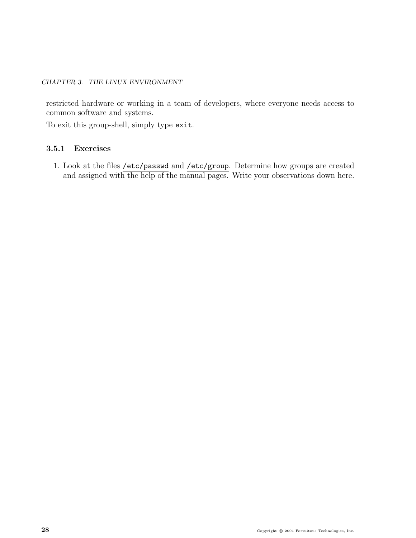restricted hardware or working in a team of developers, where everyone needs access to common software and systems.

To exit this group-shell, simply type exit.

### 3.5.1 Exercises

1. Look at the files /etc/passwd and /etc/group. Determine how groups are created and assigned with the help of the manual pages. Write your observations down here.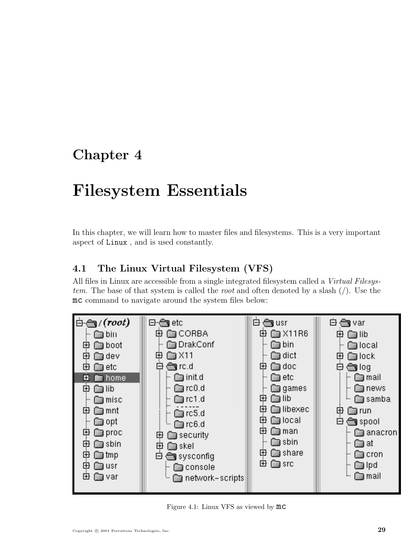## Chapter 4

# Filesystem Essentials

In this chapter, we will learn how to master files and filesystems. This is a very important aspect of Linux , and is used constantly.

### 4.1 The Linux Virtual Filesystem (VFS)

All files in Linux are accessible from a single integrated filesystem called a Virtual Filesystem. The base of that system is called the root and often denoted by a slash (/). Use the mc command to navigate around the system files below:



Figure 4.1: Linux VFS as viewed by mc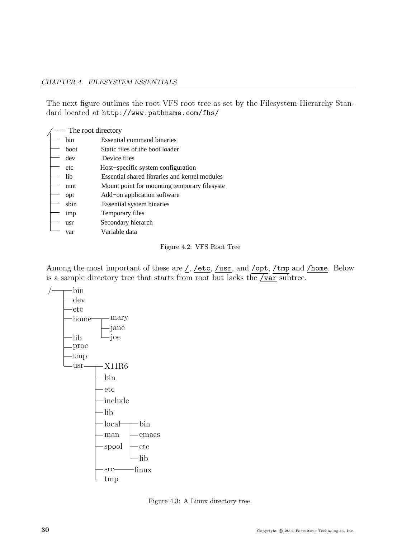The next figure outlines the root VFS root tree as set by the Filesystem Hierarchy Standard located at http://www.pathname.com/fhs/

| The root directory |      |                                               |  |  |  |  |
|--------------------|------|-----------------------------------------------|--|--|--|--|
|                    | bin  | <b>Essential command binaries</b>             |  |  |  |  |
|                    | boot | Static files of the boot loader               |  |  |  |  |
|                    | dev  | Device files                                  |  |  |  |  |
|                    | etc  | Host-specific system configuration            |  |  |  |  |
|                    | lib  | Essential shared libraries and kernel modules |  |  |  |  |
|                    | mnt  | Mount point for mounting temporary filesyste  |  |  |  |  |
|                    | opt  | Add-on application software                   |  |  |  |  |
|                    | sbin | Essential system binaries                     |  |  |  |  |
|                    | tmp  | Temporary files                               |  |  |  |  |
|                    | usr  | Secondary hierarch                            |  |  |  |  |
|                    | var  | Variable data                                 |  |  |  |  |

Figure 4.2: VFS Root Tree

Among the most important of these are  $\frac{7}{10}$ ,  $\frac{7}{100}$ ,  $\frac{7}{100}$ ,  $\frac{7}{100}$ ,  $\frac{7}{100}$ ,  $\frac{7}{100}$ ,  $\frac{7}{100}$ ,  $\frac{7}{100}$ ,  $\frac{7}{100}$ is a sample directory tree that starts from root but lacks the  $\sqrt{var}$  subtree.



Figure 4.3: A Linux directory tree.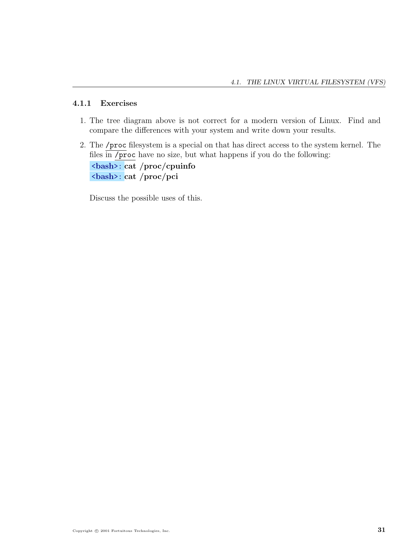#### 4.1.1 Exercises

- 1. The tree diagram above is not correct for a modern version of Linux. Find and compare the differences with your system and write down your results.
- 2. The /proc filesystem is a special on that has direct access to the system kernel. The files in /proc have no size, but what happens if you do the following: <bash>: cat /proc/cpuinfo <bash>: cat /proc/pci

Discuss the possible uses of this.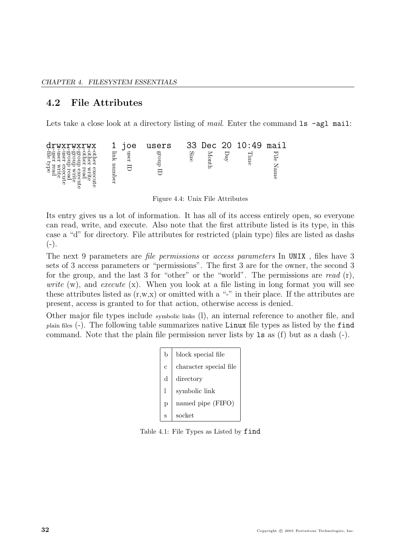### 4.2 File Attributes

Lets take a close look at a directory listing of *mail*. Enter the command  $\text{ls }$  -agl mail:

|                   |    | oe<br>ັ | users | 33   | Dec 20 | $10 \cdot 49$ | məj1          |
|-------------------|----|---------|-------|------|--------|---------------|---------------|
| നാനാ<br>гл<br>rn, | ΞI | ₽       | JΦ    | Size |        |               | <b>.</b><br>ಕ |
| ннн<br>сū<br>∽    |    |         |       |      |        |               |               |
| ര<br>Œ            | ă  |         |       |      |        |               |               |

Figure 4.4: Unix File Attributes

Its entry gives us a lot of information. It has all of its access entirely open, so everyone can read, write, and execute. Also note that the first attribute listed is its type, in this case a "d" for directory. File attributes for restricted (plain type) files are listed as dashs  $(-).$ 

The next 9 parameters are *file permissions* or *access parameters* In UNIX, files have 3 sets of 3 access parameters or "permissions". The first 3 are for the owner, the second 3 for the group, and the last 3 for "other" or the "world". The permissions are read  $(r)$ , write  $(w)$ , and execute  $(x)$ . When you look at a file listing in long format you will see these attributes listed as  $(r, w, x)$  or omitted with a "-" in their place. If the attributes are present, access is granted to for that action, otherwise access is denied.

Other major file types include symbolic links (l), an internal reference to another file, and plain files (-). The following table summarizes native Linux file types as listed by the find command. Note that the plain file permission never lists by  $\text{ls}$  as  $(f)$  but as a dash  $(-)$ .



Table 4.1: File Types as Listed by find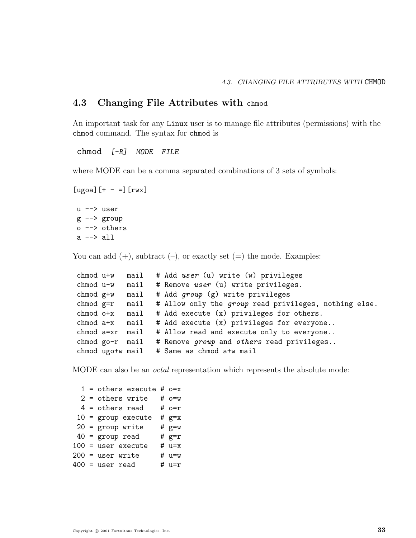### 4.3 Changing File Attributes with chmod

An important task for any Linux user is to manage file attributes (permissions) with the chmod command. The syntax for chmod is

chmod [-R] MODE FILE

where MODE can be a comma separated combinations of 3 sets of symbols:

```
[ugoa][+ - =][rwx]u --> user
g --> group
o --> others
a --> all
```
You can add  $(+)$ , subtract  $(-)$ , or exactly set  $(=)$  the mode. Examples:

```
chmod u+w mail # Add user (u) write (w) privileges
chmod u-w mail # Remove user(u) write privileges.
chmod g+w mail # Add group (g) write privileges
chmod g = r mail # Allow only the group read privileges, nothing else.
chmod o+x mail # Add execute (x) privileges for others.
chmod a+x mail # Add execute (x) privileges for everyone..
chmod a=xr mail # Allow read and execute only to everyone..
chmod g_0-r mail # Remove group and others read privileges..
chmod ugo+w mail # Same as chmod a+w mail
```
MODE can also be an octal representation which represents the absolute mode:

```
1 = others execute # o=x2 = others write \# o=w
 4 = others read # o=r
 10 = group execute # g=x20 = group write # g=w40 = group read # g=r100 = user execute # u=x
200 = user write # u=w
400 = user read # u=r
```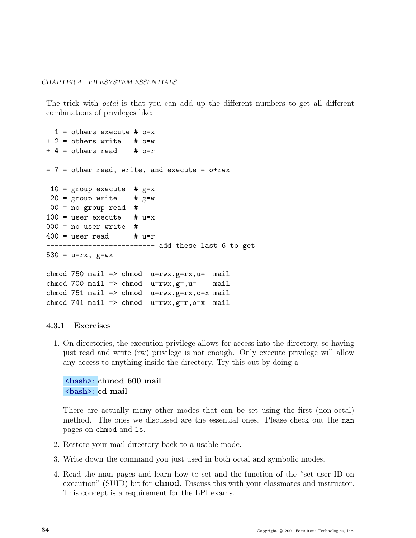The trick with octal is that you can add up the different numbers to get all different combinations of privileges like:

```
1 = others execute # o=x+ 2 = others write \# o=w
+ 4 = others read \# o=r
-----------------------------
= 7 = other read, write, and execute = o+rwx10 = group execute # g=x20 = group write # g=w00 = no group read #
100 = user execute # u=x
000 = no user write #
400 = user read # u=r
-------------------------- add these last 6 to get
530 = u=rx, g=wxchmod 750 mail => chmod u=rwx,g=rx, u= mail
chmod 700 mail => chmod u=rwx,g=,u= mail
chmod 751 mail => chmod u=rwx,g=rx, o=rx mail
chmod 741 mail => chmod u=rux, g=r, o=x mail
```
### 4.3.1 Exercises

1. On directories, the execution privilege allows for access into the directory, so having just read and write (rw) privilege is not enough. Only execute privilege will allow any access to anything inside the directory. Try this out by doing a

### <bash>: chmod 600 mail <bash>: cd mail

There are actually many other modes that can be set using the first (non-octal) method. The ones we discussed are the essential ones. Please check out the man pages on chmod and ls.

- 2. Restore your mail directory back to a usable mode.
- 3. Write down the command you just used in both octal and symbolic modes.
- 4. Read the man pages and learn how to set and the function of the "set user ID on execution" (SUID) bit for chmod. Discuss this with your classmates and instructor. This concept is a requirement for the LPI exams.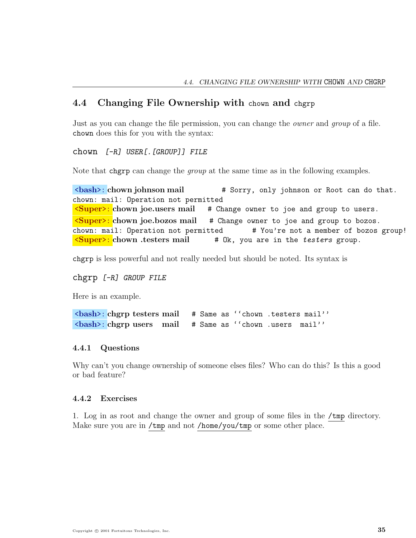### 4.4 Changing File Ownership with chown and chgrp

Just as you can change the file permission, you can change the owner and group of a file. chown does this for you with the syntax:

chown [-R] USER[.[GROUP]] FILE

Note that chgrp can change the group at the same time as in the following examples.

<br/>bash>: chown johnson mail  $\qquad$  # Sorry, only johnson or Root can do that. chown: mail: Operation not permitted **Super>:** chown joe.users mail # Change owner to joe and group to users. <Super>: chown joe.bozos mail # Change owner to joe and group to bozos. chown: mail: Operation not permitted  $\qquad$  # You're not a member of bozos group!  $\langle$ Super>: chown .testers mail  $\qquad$  # 0k, you are in the *testers* group.

chgrp is less powerful and not really needed but should be noted. Its syntax is

chgrp [-R] GROUP FILE

Here is an example.

<bash>: chgrp testers mail # Same as ''chown .testers mail'' <bash>: chgrp users mail # Same as ''chown .users mail''

#### 4.4.1 Questions

Why can't you change ownership of someone elses files? Who can do this? Is this a good or bad feature?

#### 4.4.2 Exercises

1. Log in as root and change the owner and group of some files in the /tmp directory. Make sure you are in /tmp and not /home/you/tmp or some other place.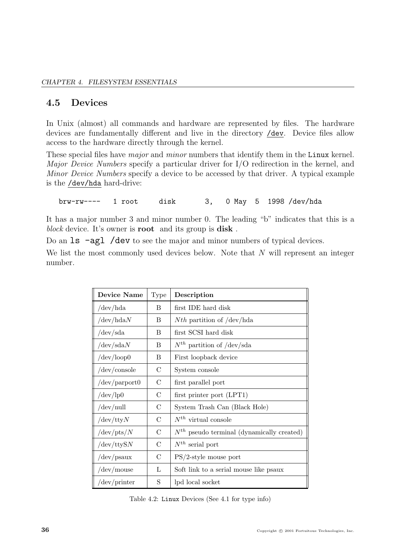### 4.5 Devices

In Unix (almost) all commands and hardware are represented by files. The hardware devices are fundamentally different and live in the directory /dev. Device files allow access to the hardware directly through the kernel.

These special files have *major* and *minor* numbers that identify them in the Linux kernel. Major Device Numbers specify a particular driver for I/O redirection in the kernel, and Minor Device Numbers specify a device to be accessed by that driver. A typical example is the /dev/hda hard-drive:

brw-rw---- 1 root disk 3, 0 May 5 1998 /dev/hda

It has a major number 3 and minor number 0. The leading "b" indicates that this is a block device. It's owner is **root** and its group is **disk**.

Do an 1s -agl /dev to see the major and minor numbers of typical devices.

We list the most commonly used devices below. Note that  $N$  will represent an integer number.

| <b>Device Name</b>           | Type          | Description                                    |
|------------------------------|---------------|------------------------------------------------|
| /dev/hda                     | B             | first IDE hard disk                            |
| $/\text{dev}/\text{hda}N$    | B             | <i>Nth</i> partition of $/$ dev $/$ hda        |
| $/\text{dev/sda}$            | B             | first SCSI hard disk                           |
| $/\text{dev/sda}N$           | B             | $N^{th}$ partition of /dev/sda                 |
| $/\text{dev}/\text{loop0}$   | B             | First loopback device                          |
| $/\text{dev}/\text{console}$ | C             | System console                                 |
| $/\text{dev/parport0}$       | C             | first parallel port                            |
| $/\text{dev}$ /lp0           | C             | first printer port (LPT1)                      |
| $/\text{dev}/\text{null}$    | $\mathcal{C}$ | System Trash Can (Black Hole)                  |
| $/\text{dev/tty}N$           | $\mathcal{C}$ | $N^{th}$ virtual console                       |
| $/\text{dev/pts}/N$          | C             | $N^{th}$ pseudo terminal (dynamically created) |
| $/\text{dev/ttySN}$          | C             | $N^{th}$ serial port                           |
| $/\text{dev}/\text{psaux}$   | $\mathcal{C}$ | $PS/2$ -style mouse port                       |
| $/\text{dev}/\text{mouse}$   | L             | Soft link to a serial mouse like psaux         |
| S<br>$/\text{dev/printer}$   |               | lpd local socket                               |

Table 4.2: Linux Devices (See 4.1 for type info)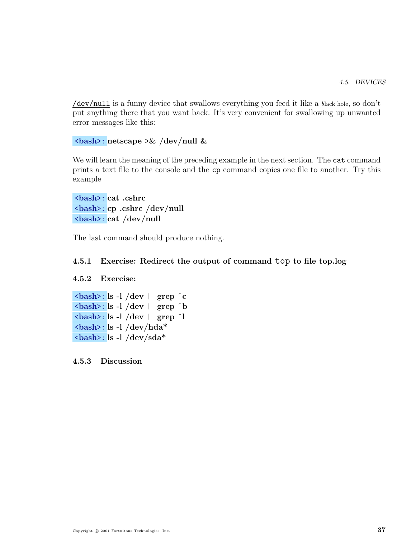/dev/null is a funny device that swallows everything you feed it like a black hole, so don't put anything there that you want back. It's very convenient for swallowing up unwanted error messages like this:

## $\langle$ bash>: netscape > $\&$  /dev/null  $\&$

We will learn the meaning of the preceding example in the next section. The cat command prints a text file to the console and the cp command copies one file to another. Try this example

<bash>: cat .cshrc <bash>: cp .cshrc /dev/null  $\langle$ bash>: cat /dev/null

The last command should produce nothing.

### 4.5.1 Exercise: Redirect the output of command top to file top.log

#### 4.5.2 Exercise:

 $\{\$ {bash}{\geq} : \ -l  $\}/\text{dev} \mid \text{grey} \circ \text{c}$  $\{\$ {bash}{\geq} : \ -l  $\text{dev} \mid \text{prep} \uparrow$  $\{\$ {bash}{\geq}: \ -l  $\text{dev} \mid \text{prep}$   $\uparrow$  l  $\langle$ bash>: ls -l /dev/hda\*  $\langle$ bash>: ls -l /dev/sda\*

4.5.3 Discussion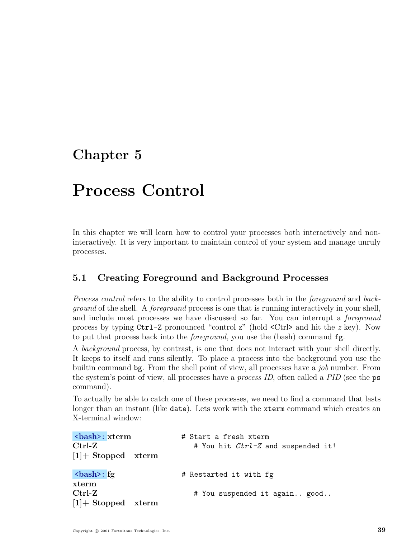# Chapter 5

# Process Control

In this chapter we will learn how to control your processes both interactively and noninteractively. It is very important to maintain control of your system and manage unruly processes.

# 5.1 Creating Foreground and Background Processes

Process control refers to the ability to control processes both in the foreground and background of the shell. A foreground process is one that is running interactively in your shell, and include most processes we have discussed so far. You can interrupt a foreground process by typing Ctrl-Z pronounced "control z" (hold <Ctrl> and hit the z key). Now to put that process back into the foreground, you use the (bash) command fg.

A background process, by contrast, is one that does not interact with your shell directly. It keeps to itself and runs silently. To place a process into the background you use the builtin command bg. From the shell point of view, all processes have a *job* number. From the system's point of view, all processes have a *process ID*, often called a PID (see the ps command).

To actually be able to catch one of these processes, we need to find a command that lasts longer than an instant (like date). Lets work with the xterm command which creates an X-terminal window:

| <br>shash>: xterm<br><sub>sterm</sub> | # Start a fresh xterm              |
|---------------------------------------|------------------------------------|
| $Ctrl-Z$                              | # You hit Ctrl-Z and suspended it! |
| $[1]$ + Stopped xterm                 |                                    |
| $\langle$ bash>: fg                   | # Restarted it with fg             |
| xterm<br>$Ctrl-Z$                     | # You suspended it again good      |
| $[1] +$ Stopped xterm                 |                                    |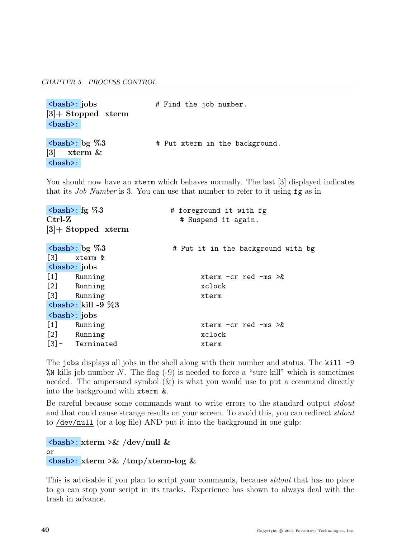#### CHAPTER 5. PROCESS CONTROL

| $\langle$ bash>: jobs    |  | # Find the job number. |  |                                |
|--------------------------|--|------------------------|--|--------------------------------|
| $[3]$ + Stopped xterm    |  |                        |  |                                |
| bash>:                   |  |                        |  |                                |
|                          |  |                        |  |                                |
| $\langle$ bash>: bg %3   |  |                        |  | # Put xterm in the background. |
| $\left 3\right $ xterm & |  |                        |  |                                |
| $<$ bash>:               |  |                        |  |                                |

You should now have an **xterm** which behaves normally. The last [3] displayed indicates that its Job Number is 3. You can use that number to refer to it using fg as in

| $\{\$ {bash\}: fg %3         | # foreground it with fg            |
|------------------------------|------------------------------------|
| $Ctrl-Z$                     | # Suspend it again.                |
| $[3]$ + Stopped xterm        |                                    |
|                              |                                    |
| $\{\$ {bash}: bg %3          | # Put it in the background with bg |
| $\lceil 3 \rceil$<br>xterm & |                                    |
| $<$ bash>: jobs              |                                    |
| [1] Running                  | xterm $-cr$ red $-ms$ $\geq$ $\&$  |
| [2] Running                  | xclock                             |
| [3] Running                  | xterm                              |
| $\langle$ bash>: kill -9 %3  |                                    |
| $<$ bash>: jobs              |                                    |
| $\left[1\right]$<br>Running  | xterm $-cr$ red $-ms$ > &          |
| [2] Running                  | xclock                             |
| [3]- Terminated              | xterm                              |
|                              |                                    |

The jobs displays all jobs in the shell along with their number and status. The kill -9  $\mathcal{N}$  kills job number N. The flag (-9) is needed to force a "sure kill" which is sometimes needed. The ampersand symbol  $(\&)$  is what you would use to put a command directly into the background with xterm &.

Be careful because some commands want to write errors to the standard output stdout and that could cause strange results on your screen. To avoid this, you can redirect stdout to /dev/null (or a log file) AND put it into the background in one gulp:

 $\{\$ {bash\}:\,xterm \& \,\/dev/null \&\,\} or  $\{\$ {bash\}:\mathrm{xterm} \& \t{tmp/xterm-log \&}

This is advisable if you plan to script your commands, because stdout that has no place to go can stop your script in its tracks. Experience has shown to always deal with the trash in advance.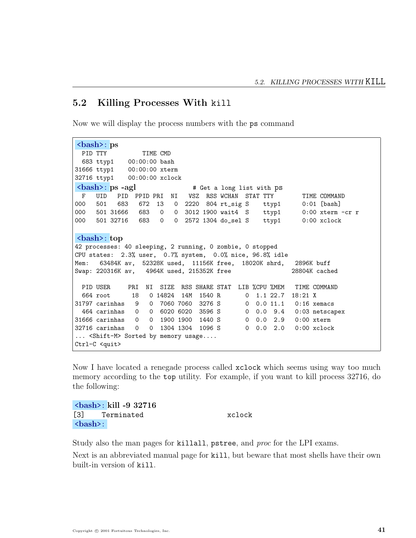## 5.2 Killing Processes With kill

Now we will display the process numbers with the ps command

<bash>: ps PID TTY TIME CMD 683 ttyp1 00:00:00 bash 31666 ttyp1 00:00:00 xterm 32716 ttyp1 00:00:00 xclock <bash>: ps -agl # Get a long list with ps F UID PID PPID PRI NI VSZ RSS WCHAN STAT TTY TIME COMMAND 000 501 683 672 13 0 2220 804 rt\_sig S ttyp1 0:01 [bash] 000 501 31666 683 0 0 3012 1900 wait4 S ttyp1 0:00 xterm -cr r 000 501 32716 683 0 0 2572 1304 do\_sel S ttyp1 0:00 xclock <bash>: top 42 processes: 40 sleeping, 2 running, 0 zombie, 0 stopped CPU states: 2.3% user, 0.7% system, 0.0% nice, 96.8% idle Mem: 63484K av, 52328K used, 11156K free, 18020K shrd, 2896K buff Swap: 220316K av, 4964K used, 215352K free 28804K cached PID USER PRI NI SIZE RSS SHARE STAT LIB %CPU %MEM TIME COMMAND 664 root 18 0 14824 14M 1540 R 0 1.1 22.7 18:21 X 31797 carinhas 9 0 7060 7060 3276 S 0 0.0 11.1 0:16 xemacs 464 carinhas 0 0 6020 6020 3596 S 0 0.0 9.4 0:03 netscapex 31666 carinhas 0 0 1900 1900 1440 S 0 0.0 2.9 0:00 xterm 32716 carinhas 0 0 1304 1304 1096 S 0 0.0 2.0 0:00 xclock ... <Shift-M> Sorted by memory usage.... Ctrl-C <quit>

Now I have located a renegade process called xclock which seems using way too much memory according to the top utility. For example, if you want to kill process 32716, do the following:

<bash>: kill -9 32716 [3] Terminated xclock <bash>:

Study also the man pages for killall, pstree, and proc for the LPI exams.

Next is an abbreviated manual page for kill, but beware that most shells have their own built-in version of kill.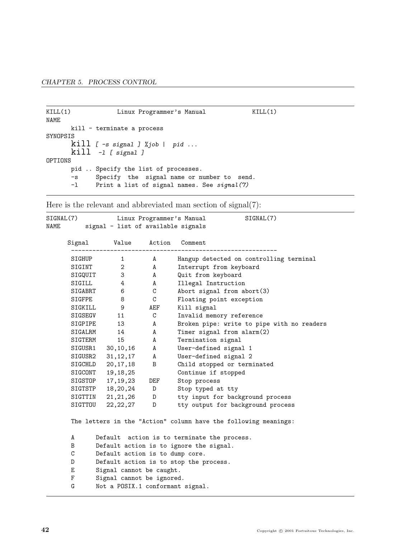```
KILL(1) Linux Programmer's Manual KILL(1)
NAME
      kill - terminate a process
SYNOPSIS
      Kill [ -s \text{ signal } ] %job | pid ...
      kill -1 [ signal ]
OPTIONS
      pid .. Specify the list of processes.
      -s Specify the signal name or number to send.
      -1 Print a list of signal names. See signal(7)
```
Here is the relevant and abbreviated man section of signal(7):

SIGNAL(7) Linux Programmer's Manual SIGNAL(7) NAME signal - list of available signals Signal Value Action Comment ---------------------------------------------------------- SIGHUP 1 1 A Hangup detected on controlling terminal SIGINT 2 A Interrupt from keyboard SIGQUIT 3 A Quit from keyboard SIGILL 4 A Illegal Instruction SIGABRT 6 C Abort signal from abort(3) SIGFPE 8 C Floating point exception SIGKILL 9 AEF Kill signal<br>SIGSEGV 11 C Invalid memor<br>SIGPIPE 13 A Broken pipe SIGSEGV 11 C Invalid memory reference SIGPIPE 13 A Broken pipe: write to pipe with no readers SIGALRM 14 A Timer signal from alarm(2)<br>SIGTERM 15 A Termination signal SIGTERM 15 A Termination signal SIGUSR1 30,10,16 A User-defined signal 1 SIGUSR2 31,12,17 A User-defined signal 2 SIGCHLD 20,17,18 B Child stopped or terminated SIGCONT 19,18,25 Continue if stopped SIGSTOP 17,19,23 DEF Stop process SIGTSTP 18, 20, 24 D Stop typed at tty SIGTTIN 21,21,26 D tty input for background process SIGTTOU 22, 22, 27 D tty output for background process The letters in the "Action" column have the following meanings: A Default action is to terminate the process. B Default action is to ignore the signal. C Default action is to dump core. D Default action is to stop the process. E Signal cannot be caught.<br>F Signal cannot be ignored Signal cannot be ignored. G Not a POSIX.1 conformant signal.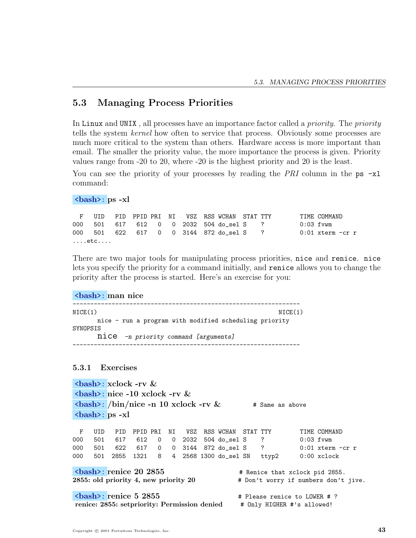## 5.3 Managing Process Priorities

In Linux and UNIX, all processes have an importance factor called a *priority*. The *priority* tells the system kernel how often to service that process. Obviously some processes are much more critical to the system than others. Hardware access is more important than email. The smaller the priority value, the more importance the process is given. Priority values range from -20 to 20, where -20 is the highest priority and 20 is the least.

You can see the priority of your processes by reading the *PRI* column in the  $ps -x1$ command:

```
<bash>: ps -xl
```
F UID PID PPID PRI NI VSZ RSS WCHAN STAT TTY TIME COMMAND 000 501 617 612 0 0 2032 504 do\_sel S ? 0:03 fvwm 000 501 622 617 0 0 3144 872 do\_sel S ? 0:01 xterm -cr r ....etc....

There are two major tools for manipulating process priorities, nice and renice. nice lets you specify the priority for a command initially, and renice allows you to change the priority after the process is started. Here's an exercise for you:

<bash>: man nice

```
----------------------------------------------------------------
NICE(1) NICE(1)nice - run a program with modified scheduling priority
SYNOPSIS
     nice -n priority command [arguments]
----------------------------------------------------------------
```
#### 5.3.1 Exercises

 $\langle$ bash>: xclock -rv & <bash>: nice -10 xclock -rv &  $\{\gamma\}\$ : /bin/nice -n 10 xclock -rv  $\&$  # Same as above <bash>: ps -xl

F UID PID PPID PRI NI VSZ RSS WCHAN STAT TTY TIME COMMAND 000 501 617 612 0 0 2032 504 do\_sel S ? 0:03 fvwm 000 501 622 617 0 0 3144 872 do\_sel S ? 0:01 xterm -cr r 000 501 2855 1321 8 4 2568 1300 do\_sel SN ttyp2 0:00 xclock

 $\langle$ bash>: renice 20 2855.  $\qquad \qquad \qquad$  # Renice that xclock pid 2855. 2855: old priority 4, new priority 20  $\#$  Don't worry if numbers don't jive. <br />
<br />
<br />
<br />
<br />
<br />
<br />
+ Please renice to LOWER # ? renice: 2855: setpriority: Permission denied # 0nly HIGHER #'s allowed!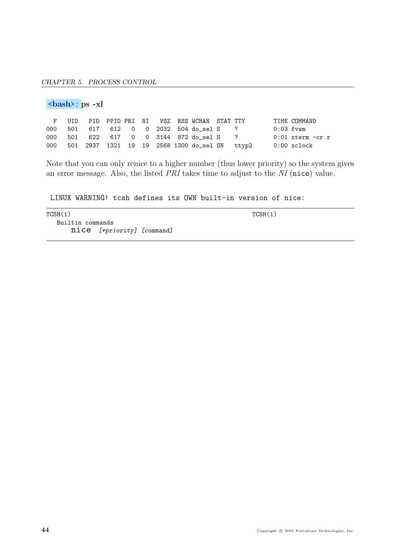## <bash>: ps -xl

| $\mathbf{F}$ |  |  |  | UID PID PPID PRI NI VSZ RSS WCHAN STAT TTY |                                                   |             | TIME COMMAND         |
|--------------|--|--|--|--------------------------------------------|---------------------------------------------------|-------------|----------------------|
|              |  |  |  | 000 501 617 612 0 0 2032 504 do sel S ?    |                                                   | $0:03$ fywm |                      |
|              |  |  |  | 000 501 622 617 0 0 3144 872 do_sel S ?    |                                                   |             | $0:01$ xterm $-cr$ r |
|              |  |  |  |                                            | 000 501 2937 1321 19 19 2568 1300 do_sel SN ttyp2 |             | 0:00 xclock          |

Note that you can only renice to a higher number (thus lower priority) so the system gives an error message. Also, the listed PRI takes time to adjust to the NI (nice) value.

LINUX WARNING! tcsh defines its OWN built-in version of nice:

 $TCSH(1)$   $TCSH(1)$ Builtin commands nice [+priority] [command]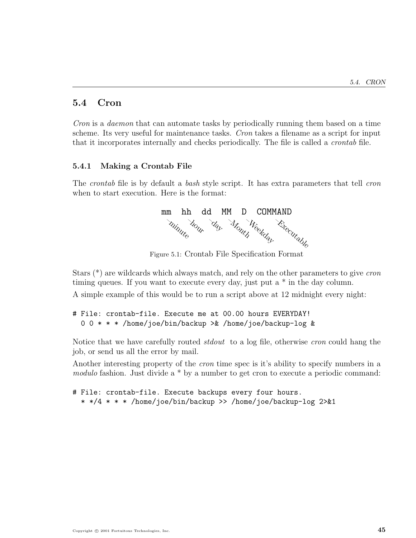# 5.4 Cron

Cron is a daemon that can automate tasks by periodically running them based on a time scheme. Its very useful for maintenance tasks. Cron takes a filename as a script for input that it incorporates internally and checks periodically. The file is called a crontab file.

## 5.4.1 Making a Crontab File

The *crontab* file is by default a *bash* style script. It has extra parameters that tell *cron* when to start execution. Here is the format:



Figure 5.1: Crontab File Specification Format

Stars (\*) are wildcards which always match, and rely on the other parameters to give cron timing queues. If you want to execute every day, just put a \* in the day column.

A simple example of this would be to run a script above at 12 midnight every night:

```
# File: crontab-file. Execute me at 00.00 hours EVERYDAY!
  0 0 * * * /home/joe/bin/backup >& /home/joe/backup-log &
```
Notice that we have carefully routed stdout to a log file, otherwise cron could hang the job, or send us all the error by mail.

Another interesting property of the *cron* time spec is it's ability to specify numbers in a modulo fashion. Just divide a \* by a number to get cron to execute a periodic command:

```
# File: crontab-file. Execute backups every four hours.
  * */4 * * * /home/joe/bin/backup >> /home/joe/backup-log 2>&1
```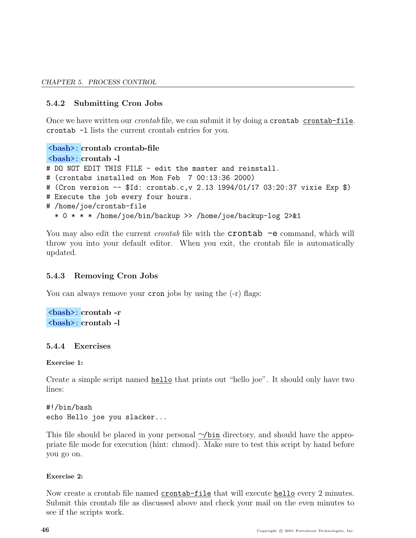CHAPTER 5. PROCESS CONTROL

### 5.4.2 Submitting Cron Jobs

Once we have written our *crontab* file, we can submit it by doing a crontab crontab-file. crontab -l lists the current crontab entries for you.

```
<bash>: crontab crontab-file
<bash>: crontab -l
# DO NOT EDIT THIS FILE - edit the master and reinstall.
# (crontabs installed on Mon Feb 7 00:13:36 2000)
# (Cron version -- $Id: crontab.c,v 2.13 1994/01/17 03:20:37 vixie Exp $)
# Execute the job every four hours.
# /home/joe/crontab-file
  * 0 * * * /home/joe/bin/backup >> /home/joe/backup-log 2>&1
```
You may also edit the current *crontab* file with the **crontab**  $-e$  command, which will throw you into your default editor. When you exit, the crontab file is automatically updated.

## 5.4.3 Removing Cron Jobs

You can always remove your cron jobs by using the  $(-r)$  flags:

```
<bash>: crontab -r
<bash>: crontab -l
```
#### 5.4.4 Exercises

#### Exercise 1:

Create a simple script named hello that prints out "hello joe". It should only have two lines:

#!/bin/bash echo Hello joe you slacker...

This file should be placed in your personal ∼/bin directory, and should have the appropriate file mode for execution (hint: chmod). Make sure to test this script by hand before you go on.

#### Exercise 2:

Now create a crontab file named crontab-file that will execute hello every 2 minutes. Submit this crontab file as discussed above and check your mail on the even minutes to see if the scripts work.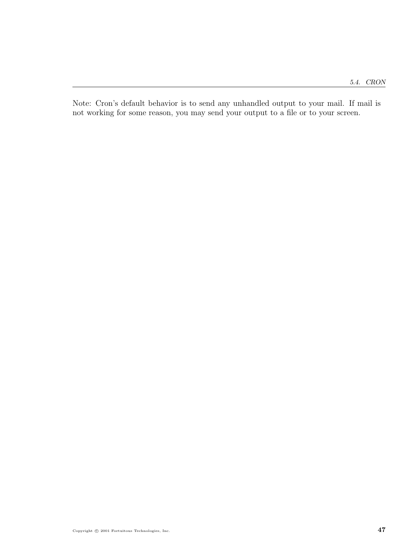Note: Cron's default behavior is to send any unhandled output to your mail. If mail is not working for some reason, you may send your output to a file or to your screen.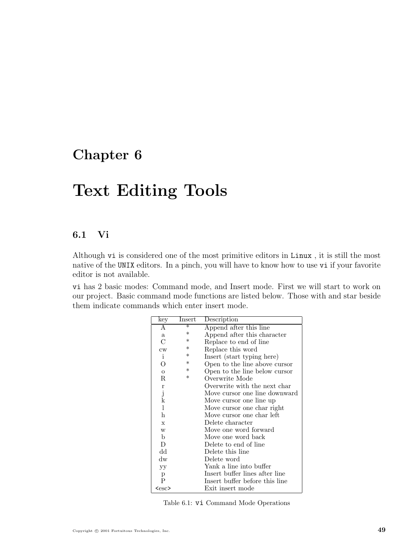# Chapter 6

# Text Editing Tools

# 6.1 Vi

Although vi is considered one of the most primitive editors in Linux , it is still the most native of the UNIX editors. In a pinch, you will have to know how to use vi if your favorite editor is not available.

vi has 2 basic modes: Command mode, and Insert mode. First we will start to work on our project. Basic command mode functions are listed below. Those with and star beside them indicate commands which enter insert mode.

| key            | $_{\rm Insert}$ | Description                    |
|----------------|-----------------|--------------------------------|
| А              | ∗               | Append after this line         |
| a.             | $^\ast$         | Append after this character    |
| С              | $\ast$          | Replace to end of line         |
| cw             |                 | Replace this word              |
| $\mathbf{i}$   | $\ast$          | Insert (start typing here)     |
| O              | $^\ast$         | Open to the line above cursor  |
| $\overline{O}$ | $^\ast$         | Open to the line below cursor  |
| R              | $\ast$          | Overwrite Mode                 |
| r              |                 | Overwrite with the next char   |
| $\mathbf{j}$   |                 | Move cursor one line downward  |
| k              |                 | Move cursor one line up        |
| 1              |                 | Move cursor one char right     |
| h              |                 | Move cursor one char left      |
| $\mathbf x$    |                 | Delete character               |
| W              |                 | Move one word forward          |
| b              |                 | Move one word back             |
| D              |                 | Delete to end of line          |
| dd             |                 | Delete this line               |
| dw             |                 | Delete word                    |
| yу             |                 | Yank a line into buffer        |
| p              |                 | Insert buffer lines after line |
| Р              |                 | Insert buffer before this line |
| <esc></esc>    |                 | Exit insert mode               |

Table 6.1: vi Command Mode Operations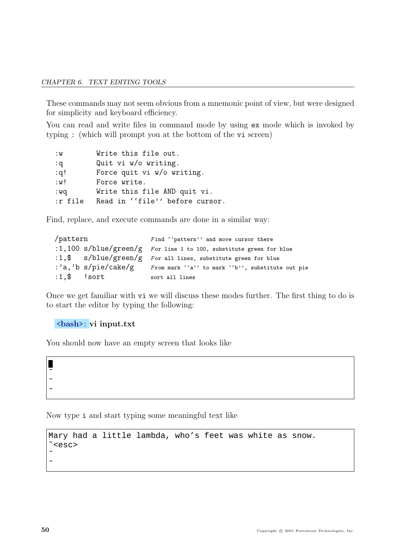These commands may not seem obvious from a mnemonic point of view, but were designed for simplicity and keyboard efficiency.

You can read and write files in command mode by using ex mode which is invoked by typing : (which will prompt you at the bottom of the vi screen)

| : W     | Write this file out.            |
|---------|---------------------------------|
| ∶q      | Quit vi w/o writing.            |
| :q!     | Force quit vi w/o writing.      |
| :w!     | Force write.                    |
| : vq    | Write this file AND quit vi.    |
| r file: | Read in ''file'' before cursor. |

Find, replace, and execute commands are done in a similar way:

| /pattern       |                     | Find "pattern" and move cursor there                               |
|----------------|---------------------|--------------------------------------------------------------------|
|                |                     | :1,100 s/blue/green/g For line 1 to 100, substitute green for blue |
|                |                     | :1,\$ $s/blue/green/g$ For all lines, substitute green for blue    |
|                | :'a,'b s/pie/cake/g | From mark ''a'' to mark ''b'', substitute out pie                  |
| $:1$ ,\$ !sort |                     | sort all lines                                                     |

Once we get familiar with vi we will discuss these modes further. The first thing to do is to start the editor by typing the following:

## <bash>: vi input.txt

You should now have an empty screen that looks like

▉  $\tilde{\phantom{a}}$  $\tilde{\phantom{a}}$  $\sim$ 

Now type i and start typing some meaningful text like

```
Mary had a little lambda, who's feet was white as snow.
˜<esc>
\sim\sim
```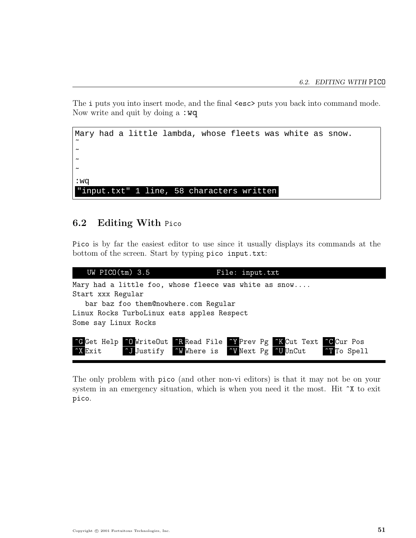The *i* puts you into insert mode, and the final  $\langle \text{esc} \rangle$  puts you back into command mode. Now write and quit by doing a  $:wq$ 

```
Mary had a little lambda, whose fleets was white as snow.
\sim\sim\sim\ddot{\sim}:wq
"input.txt" 1 line, 58 characters written
```
# 6.2 Editing With Pico

Pico is by far the easiest editor to use since it usually displays its commands at the bottom of the screen. Start by typing pico input.txt:

| UW PICO $(tm)$ 3.5   |                                                                                                           | File: input.txt |                   |
|----------------------|-----------------------------------------------------------------------------------------------------------|-----------------|-------------------|
|                      | Mary had a little foo, whose fleece was white as $\texttt{snow} \dots$                                    |                 |                   |
| Start xxx Regular    |                                                                                                           |                 |                   |
|                      | bar baz foo them@nowhere.com Regular                                                                      |                 |                   |
|                      | Linux Rocks TurboLinux eats apples Respect                                                                |                 |                   |
| Some say Linux Rocks |                                                                                                           |                 |                   |
|                      |                                                                                                           |                 |                   |
|                      | <b>^G</b> Get Help <b>^0</b> WriteOut <b>^R</b> Read File <b>^Y</b> Prev Pg ^K Cut Text <b>^C</b> Cur Pos |                 |                   |
| <b>X</b> Exit        | <b>J</b> Justify Where is Whext Pg WUnCut                                                                 |                 | <b>TT</b> o Spell |

The only problem with pico (and other non-vi editors) is that it may not be on your system in an emergency situation, which is when you need it the most. Hit  $\hat{X}$  to exit pico.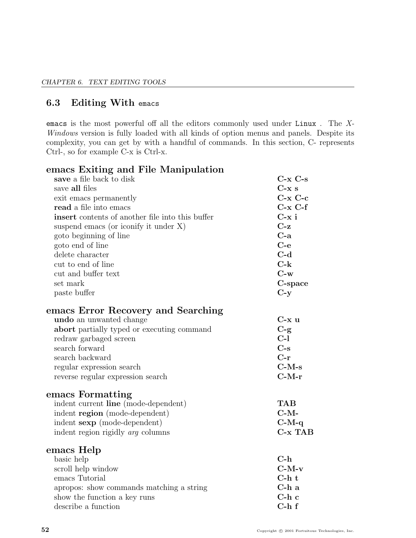# 6.3 Editing With emacs

emacs is the most powerful off all the editors commonly used under Linux . The X-Windows version is fully loaded with all kinds of option menus and panels. Despite its complexity, you can get by with a handful of commands. In this section, C- represents Ctrl-, so for example C-x is Ctrl-x.

| emacs Exiting and File Manipulation              |             |
|--------------------------------------------------|-------------|
| save a file back to disk                         | $C-x C-s$   |
| save all files                                   | $C-x s$     |
| exit emacs permanently                           | $C-x$ $C-c$ |
| read a file into emacs                           | $C-x C-f$   |
| insert contents of another file into this buffer | $C-x$ i     |
| suspend emacs (or iconify it under $X$ )         | $C-z$       |
| goto beginning of line                           | $C-a$       |
| goto end of line                                 | $C-e$       |
| delete character                                 | $C-d$       |
| cut to end of line                               | $C-k$       |
| cut and buffer text                              | $C-w$       |
| set mark                                         | C-space     |
| paste buffer                                     | $C-y$       |
|                                                  |             |
| emacs Error Recovery and Searching               |             |
| undo an unwanted change                          | $C$ -x $u$  |
| abort partially typed or executing command       | $C-g$       |
| redraw garbaged screen                           | $C-I$       |
| search forward                                   | $C-S$       |
| search backward                                  | $C-r$       |
| regular expression search                        | $C-M-s$     |
| reverse regular expression search                | $C-M-r$     |
|                                                  |             |
| emacs Formatting                                 |             |
| indent current line (mode-dependent)             | <b>TAB</b>  |
| indent region (mode-dependent)                   | $C-M-$      |
| indent sexp (mode-dependent)                     | $C-M-q$     |
| indent region rigidly <i>arg</i> columns         | C-x TAB     |
|                                                  |             |
| emacs Help                                       |             |
| basic help                                       | $C-h$       |
| scroll help window                               | $C-M-v$     |
| emacs Tutorial                                   | $C-h$ t     |
| apropos: show commands matching a string         | $C-h$ a     |
| show the function a key runs                     | $C-h c$     |
| describe a function                              | $C-h f$     |

# emacs Exiting and File Manipulation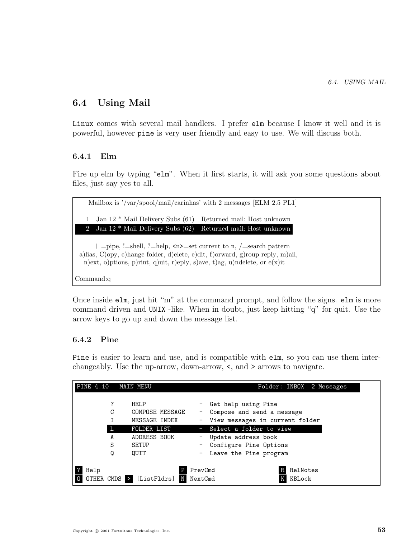# 6.4 Using Mail

Linux comes with several mail handlers. I prefer elm because I know it well and it is powerful, however pine is very user friendly and easy to use. We will discuss both.

## 6.4.1 Elm

Fire up elm by typing "elm". When it first starts, it will ask you some questions about files, just say yes to all.

Mailbox is '/var/spool/mail/carinhas' with 2 messages [ELM 2.5 PL1] 1 Jan 12 \* Mail Delivery Subs (61) Returned mail: Host unknown 2 Jan 12 \* Mail Delivery Subs (62) Returned mail: Host unknown | =pipe, !=shell, ?=help,  $\langle n \rangle$ =set current to n, /=search pattern a)lias, C)opy, c)hange folder, d)elete, e)dit, f)orward, g)roup reply, m)ail, n)ext, o)ptions, p)rint, q)uit, r)eply, s)ave, t)ag, u)ndelete, or  $e(x)$ it Command:q

Once inside elm, just hit "m" at the command prompt, and follow the signs. elm is more command driven and UNIX -like. When in doubt, just keep hitting "q" for quit. Use the arrow keys to go up and down the message list.

## 6.4.2 Pine

Pine is easier to learn and use, and is compatible with elm, so you can use them interchangeably. Use the up-arrow, down-arrow, <, and > arrows to navigate.

| PINE 4.10 MAIN MENU |                                                    | Folder: INBOX 2 Messages                                                                    |
|---------------------|----------------------------------------------------|---------------------------------------------------------------------------------------------|
| 7<br>C              | <b>HELP</b><br>COMPOSE MESSAGE<br>MESSAGE INDEX    | Get help using Pine<br>Compose and send a message<br>-<br>- View messages in current folder |
| A<br>S              | <b>FOLDER LIST</b><br>ADDRESS BOOK<br><b>SETUP</b> | - Select a folder to view<br>Update address book<br>Configure Pine Options                  |
| Q                   | QUIT                                               | Leave the Pine program                                                                      |
| Help                | OTHER CMDS > $[ListFlat]$ N                        | PrevCmd<br>RelNotes<br>NextCmd<br>KBLock                                                    |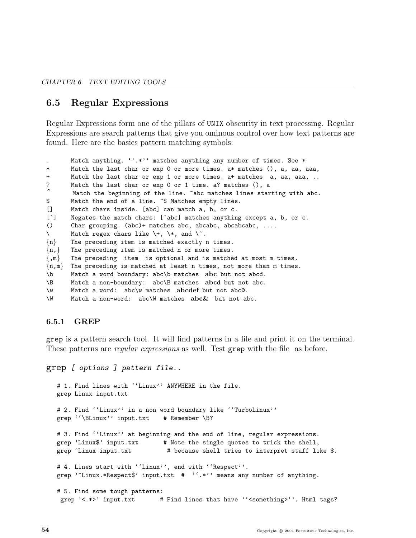## 6.5 Regular Expressions

Regular Expressions form one of the pillars of UNIX obscurity in text processing. Regular Expressions are search patterns that give you ominous control over how text patterns are found. Here are the basics pattern matching symbols:

```
Match anything. '.*'' matches anything any number of times. See *
       Match the last char or exp 0 or more times. a* matches (), a, aa, aaa,
+ Match the last char or exp 1 or more times. a+ matches a, aa, aaa, ..
? Match the last char or exp 0 or 1 time. a? matches (), a
Match the beginning of the line. ^abc matches lines starting with abc.<br>$Match the end of a line. ^$ Matches empty lines.
       Match the end of a line. ^$ Matches empty lines.
[] Match chars inside. [abc] can match a, b, or c.
[^] Negates the match chars: [^abc] matches anything except a, b, or c.
() Char grouping. (abc)+ matches abc, abcabc, abcabcabc, ....
\setminus Match regex chars like \setminus+, \setminus*, and \setminus<sup>o</sup>.
{n} The preceding item is matched exactly n times.
{n,} The preceding item is matched n or more times.
{,m} The preceding item is optional and is matched at most m times.
{n,m} The preceding is matched at least n times, not more than m times.
\b Match a word boundary: abc\b matches abc but not abcd.
\B Match a non-boundary: abc\B matches abcd but not abc.
\w Match a word: abc\w matches abcdef but not abc@.
\W Match a non-word: abc\W matches abc& but not abc.
```
## 6.5.1 GREP

grep is a pattern search tool. It will find patterns in a file and print it on the terminal. These patterns are *regular expressions* as well. Test grep with the file as before.

```
grep [ options ] pattern file..
```
# 1. Find lines with ''Linux'' ANYWHERE in the file. grep Linux input.txt # 2. Find ''Linux'' in a non word boundary like ''TurboLinux'' grep ''\BLinux'' input.txt # Remember \B? # 3. Find ''Linux'' at beginning and the end of line, regular expressions. grep 'Linux\$' input.txt  $\qquad$  # Note the single quotes to trick the shell, grep ^Linux input.txt # because shell tries to interpret stuff like \$. # 4. Lines start with ''Linux'', end with ''Respect''. grep '<sup>^</sup>Linux.\*Respect\$' input.txt #  $''.*'$ ' means any number of anything. # 5. Find some tough patterns: grep '<.\*>' input.txt # Find lines that have ''<something>''. Html tags?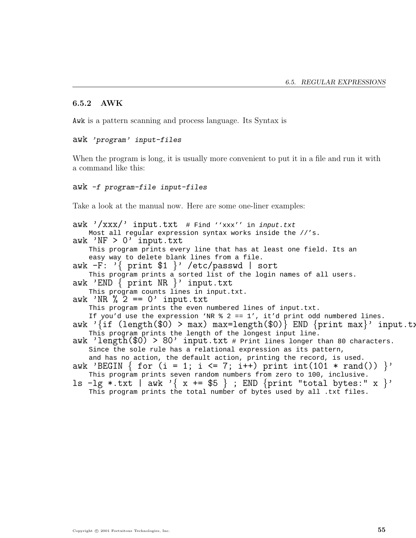#### 6.5.2 AWK

Awk is a pattern scanning and process language. Its Syntax is

#### awk 'program' input-files

When the program is long, it is usually more convenient to put it in a file and run it with a command like this:

#### awk -f program-file input-files

Take a look at the manual now. Here are some one-liner examples:

```
awk \prime/xxx/' input.txt # Find ''xxx'' in input.txt
   Most all regular expression syntax works inside the //'s.
awk 'NF > 0' input.txt
   This program prints every line that has at least one field. Its an
   easy way to delete blank lines from a file.
awk -F: \{ \text{print } $1 \}' /etc/passwd | sort
   This program prints a sorted list of the login names of all users.
awk 'END { print NR }' input.txt
   This program counts lines in input.txt.
awk 'NR \frac{6}{2} == 0' input.txt
   This program prints the even numbered lines of input.txt.
   If you'd use the expression 'NR 8 2 == 1', it'd print odd numbered lines.
awk '{if (length($0) > max) max=length($0)} END {print max}' input.tx
   This program prints the length of the longest input line.
awk 'length($0) > 80' input.txt # Print lines longer than 80 characters.
   Since the sole rule has a relational expression as its pattern,
   and has no action, the default action, printing the record, is used.
awk 'BEGIN { for (i = 1; i <= 7; i++) print int(101 * rand()) }'
   This program prints seven random numbers from zero to 100, inclusive.
1s -1g *.txt | awk '{ x += $5 } ; END {print "total bytes:" x }'
   This program prints the total number of bytes used by all .txt files.
```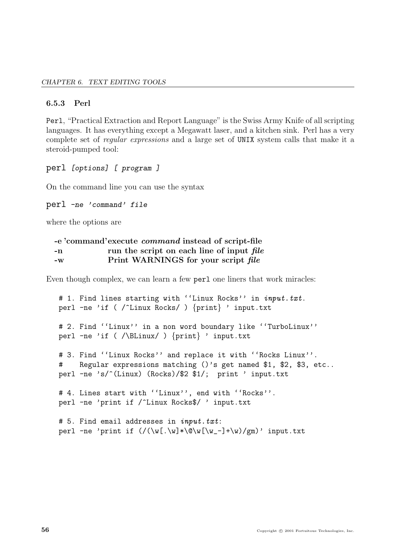#### 6.5.3 Perl

Perl, "Practical Extraction and Report Language" is the Swiss Army Knife of all scripting languages. It has everything except a Megawatt laser, and a kitchen sink. Perl has a very complete set of regular expressions and a large set of UNIX system calls that make it a steroid-pumped tool:

perl [options] [ program ]

On the command line you can use the syntax

#### perl -ne 'command' file

where the options are

## -e 'command'execute command instead of script-file -n run the script on each line of input file -w Print WARNINGS for your script file

Even though complex, we can learn a few perl one liners that work miracles:

```
# 1. Find lines starting with ''Linux Rocks'' in input.txt.
perl -ne 'if ( /^Linux Rocks/ ) {print} ' input.txt
# 2. Find ''Linux'' in a non word boundary like ''TurboLinux''
perl -ne 'if ( /\BLinux/ ) {print} ' input.txt
# 3. Find ''Linux Rocks'' and replace it with ''Rocks Linux''.
     Regular expressions matching ()'s get named $1, $2, $3, etc..perl -ne 's/^(Linux) (Rocks)/$2 $1/; print ' input.txt
# 4. Lines start with ''Linux'', end with ''Rocks''.
perl -ne 'print if /^Linux Rocks$/ ' input.txt
# 5. Find email addresses in input.txt:
perl -ne 'print if (/(\w[.\w]*\@\w[\w_-]+\w)/gm)' input.txt
```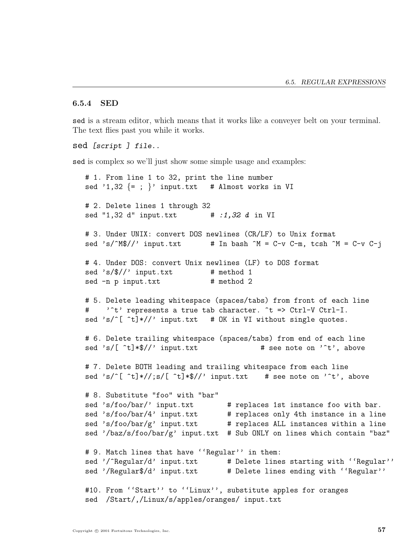#### 6.5.4 SED

sed is a stream editor, which means that it works like a conveyer belt on your terminal. The text flies past you while it works.

```
sed [script ] file..
```
sed is complex so we'll just show some simple usage and examples:

```
# 1. From line 1 to 32, print the line number
sed '1,32 \{=\;;\;\}' input.txt # Almost works in VI
# 2. Delete lines 1 through 32
sed "1,32 d" input.txt # :1,32 d in VI
# 3. Under UNIX: convert DOS newlines (CR/LF) to Unix format
sed 's/^M$//' input.txt # In bash ^M = C-v C-m, tcsh ^M = C-v C-j
# 4. Under DOS: convert Unix newlines (LF) to DOS format
sed 's/$//' input.txt # method 1
sed -n p input.txt # method 2
# 5. Delete leading whitespace (spaces/tabs) from front of each line
     '<sup>*</sup>t' represents a true tab character. <sup>*</sup>t => Ctrl-V Ctrl-I.
sed 's/^[ \hat{t} \at t input.txt \hat{t} # OK in VI without single quotes.
# 6. Delete trailing whitespace (spaces/tabs) from end of each line
sed 's/[ \hat{t} *$//' input.txt \hat{t} # see note on '\hat{t}', above
# 7. Delete BOTH leading and trailing whitespace from each line
sed 's/^[ ^t]*//;s/[ ^t]*$//' input.txt # see note on '^t', above
# 8. Substitute "foo" with "bar"
sed 's/foo/bar/' input.txt # replaces 1st instance foo with bar.
sed 's/foo/bar/4' input.txt # replaces only 4th instance in a line
sed 's/foo/bar/g' input.txt \qquad # replaces ALL instances within a line
sed '/baz/s/foo/bar/g' input.txt # Sub ONLY on lines which contain "baz"
# 9. Match lines that have ''Regular'' in them:
sed '/^Regular/d' input.txt # Delete lines starting with ''Regular''
sed '/Regular$/d' input.txt # Delete lines ending with ''Regular''
#10. From ''Start'' to ''Linux'', substitute apples for oranges
sed /Start/,/Linux/s/apples/oranges/ input.txt
```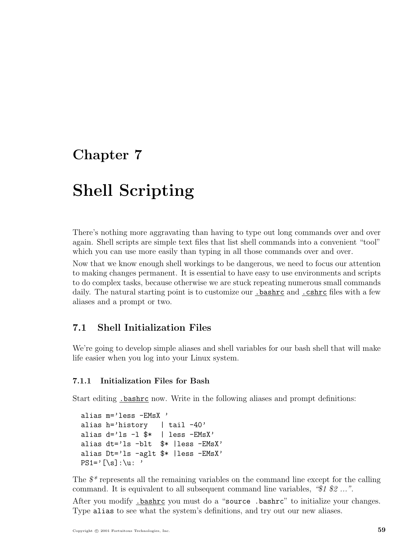# Chapter 7

# Shell Scripting

There's nothing more aggravating than having to type out long commands over and over again. Shell scripts are simple text files that list shell commands into a convenient "tool" which you can use more easily than typing in all those commands over and over.

Now that we know enough shell workings to be dangerous, we need to focus our attention to making changes permanent. It is essential to have easy to use environments and scripts to do complex tasks, because otherwise we are stuck repeating numerous small commands daily. The natural starting point is to customize our **bashrc** and **canceleral** starting point is to customize our **bashrc** and **canceleral** starting aliases and a prompt or two.

# 7.1 Shell Initialization Files

We're going to develop simple aliases and shell variables for our bash shell that will make life easier when you log into your Linux system.

## 7.1.1 Initialization Files for Bash

Start editing bashrc now. Write in the following aliases and prompt definitions:

```
alias m='less -EMsX '
alias h='history | tail -40'
alias d='ls -l $* | less -EMsX'
alias dt='ls -blt $* |less -EMsX'
alias Dt='ls -aglt $* |less -EMsX'
PS1='[\s]:\u:'
```
The \$\* represents all the remaining variables on the command line except for the calling command. It is equivalent to all subsequent command line variables, "\$1 \$2 ...".

After you modify bashrc you must do a "source .bashrc" to initialize your changes. Type alias to see what the system's definitions, and try out our new aliases.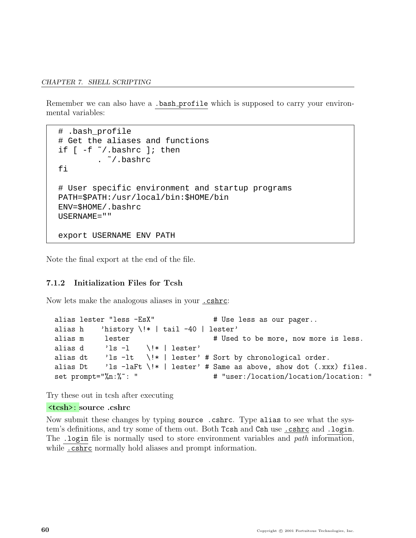Remember we can also have a .bash\_profile which is supposed to carry your environmental variables:

```
# .bash_profile
# Get the aliases and functions
if [-f^{\sim}/.bashrc]; then
        . ˜/.bashrc
fi
# User specific environment and startup programs
PATH=$PATH:/usr/local/bin:$HOME/bin
ENV=$HOME/.bashrc
USERNAME=""
export USERNAME ENV PATH
```
Note the final export at the end of the file.

#### 7.1.2 Initialization Files for Tcsh

Now lets make the analogous aliases in your .cshrc:

```
alias lester "less -EsX" # Use less as our pager..
alias h  'history \!* | tail -40 | lester'
alias m lester \qquad # Used to be more, now more is less.
alias d 'ls -1 \backslash !* | lester'
alias dt 'ls -lt \!* | lester' # Sort by chronological order.
alias Dt 'ls -laFt \setminus!* | lester' # Same as above, show dot (.xxx) files.
set prompt="%n:%": " \qquad # "user:/location/location/location: "
```
Try these out in tcsh after executing

#### <tcsh>: source .cshrc

Now submit these changes by typing source .cshrc. Type alias to see what the system's definitions, and try some of them out. Both Tcsh and Csh use *cahing* and *login*. The .login file is normally used to store environment variables and path information, while  $\overline{\text{cshrc}}$  normally hold aliases and prompt information.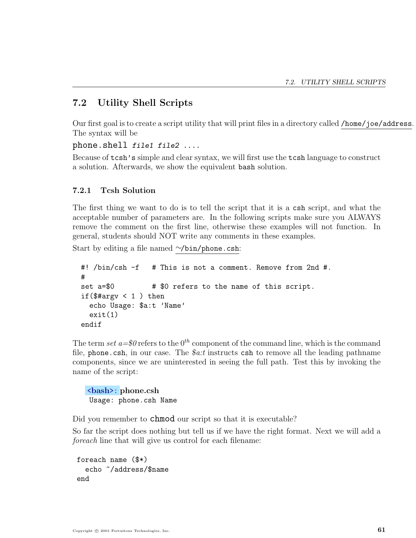# 7.2 Utility Shell Scripts

Our first goal is to create a script utility that will print files in a directory called /home/joe/address. The syntax will be

### phone.shell file1 file2 ....

Because of tcsh's simple and clear syntax, we will first use the tcsh language to construct a solution. Afterwards, we show the equivalent bash solution.

### 7.2.1 Tcsh Solution

The first thing we want to do is to tell the script that it is a csh script, and what the acceptable number of parameters are. In the following scripts make sure you ALWAYS remove the comment on the first line, otherwise these examples will not function. In general, students should NOT write any comments in these examples.

Start by editing a file named ∼/bin/phone.csh:

```
#! /bin/csh -f # This is not a comment. Remove from 2nd #.
#
set a= $0 \qquad # $0 refers to the name of this script.
if(\frac{4}{2}#argv < 1 ) then
  echo Usage: $a:t 'Name'
  exit(1)
endif
```
The term set  $a=80$  refers to the  $0^{th}$  component of the command line, which is the command file, phone.csh, in our case. The  $\hat{g}_{a:t}$  instructs csh to remove all the leading pathname components, since we are uninterested in seeing the full path. Test this by invoking the name of the script:

<bash>: phone.csh Usage: phone.csh Name

Did you remember to **chmod** our script so that it is executable?

So far the script does nothing but tell us if we have the right format. Next we will add a foreach line that will give us control for each filename:

```
foreach name ($*)
  echo ~/address/$name
end
```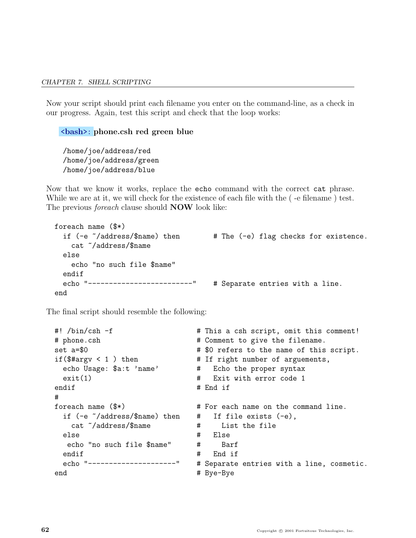Now your script should print each filename you enter on the command-line, as a check in our progress. Again, test this script and check that the loop works:

#### <bash>: phone.csh red green blue

/home/joe/address/red /home/joe/address/green /home/joe/address/blue

Now that we know it works, replace the echo command with the correct cat phrase. While we are at it, we will check for the existence of each file with the ( -e filename ) test. The previous *foreach* clause should **NOW** look like:

```
foreach name ($*)
  if (-e^{\alpha}/\text{address}/\text{frame}) then \qquad # The (-e) flag checks for existence.
    cat ~/address/$name
  else
    echo "no such file $name"
  endif
  echo "-------------------------" # Separate entries with a line.
end
```
The final script should resemble the following:

```
#! /bin/csh -f \# This a csh script, omit this comment!
# phone.csh # Comment to give the filename.
set a=$0 et as \uparrow \uparrow \uparrow \uparrow \uparrow \uparrow \uparrow \uparrow \uparrow \uparrow \uparrow \uparrow \uparrow \uparrow \uparrow \uparrow \uparrow \uparrow \uparrow \uparrow \uparrow \uparrow \uparrow \uparrow \uparrow \uparrow \uparrow \uparrow \uparrow \uparrow \uparrow \uparrow \uparrow \uparrow \upif(\frac{4}{\pi}argv < 1 ) then \frac{4}{\pi} If right number of arguements,
  echo Usage: $a:t 'name' # Echo the proper syntax
  exit(1) # Exit with error code 1
endif # End if
#
foreach name (**) # For each name on the command line.
  if (-e \gamma) address/$name) then # If file exists (-e),
    cat \tilde{\phantom{a}} /address/$name \phantom{a} # List the file
  else # Else
   echo "no such file $name" # Barf
  endif # End if<br>echo "---------------------" # Senarate
                                      # Separate entries with a line, cosmetic.
end # Bye-Bye
```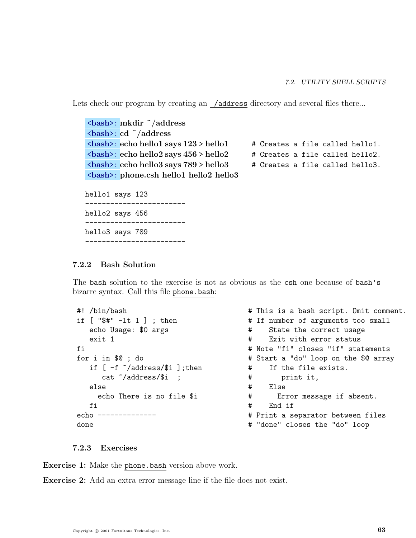Lets check our program by creating an /address directory and several files there...

<bash>: mkdir ˜/address <bash>: cd ˜/address  $\langle$ bash>: echo hello1 says 123 > hello1  $\#$  Creates a file called hello1.  $\{\frac{\delta}{\delta}$  <br/>bash>: echo hello2 says 456 > hello2 # Creates a file called hello2.  $\langle$ bash>: echo hello3 says 789 > hello3  $\qquad$  # Creates a file called hello3. <bash>: phone.csh hello1 hello2 hello3

hello1 says 123 ----------------------- hello2 says 456 ----------------------- hello3 says 789 ------------------------

## 7.2.2 Bash Solution

The bash solution to the exercise is not as obvious as the csh one because of bash's bizarre syntax. Call this file phone.bash:

```
#! /bin/bash # This is a bash script. Omit comment.
if [ "$#" -lt 1 ]; then # If number of arguments too small
   echo Usage: $0 args # State the correct usage
   exit 1 \qquad # Exit with error status
fi Allen Exercise 12 and 12 and 12 and 13 and 14 and 14 and 14 and 14 and 14 and 15 and 16 and 16 and 16 and 16 and 16 and 16 and 16 and 16 and 16 and 16 and 16 and 16 and 16 and 16 and 16 and 16 and 16 and 16 and 16 and 
for i in $0; do \# Start a "do" loop on the $0 array
   if [-f \sim/address/$i ];then \qquad # If the file exists.
      cat \tilde{ } /address/$i ; \qquad \qquad \text{#} print it,
   else # Else
     echo There is no file $i \qquad # Error message if absent.
   fi # End if
echo -------------- # Print a separator between files
done \qquad \qquad \qquad \qquad \qquad \qquad \qquad \qquad \qquad \qquad \qquad \qquad \qquad \qquad \qquad \qquad \qquad \qquad \qquad \qquad \qquad \qquad \qquad \qquad \qquad \qquad \qquad \qquad \qquad \qquad \qquad \qquad \qquad \qquad \qquad \qquad
```
## 7.2.3 Exercises

Exercise 1: Make the phone bash version above work.

Exercise 2: Add an extra error message line if the file does not exist.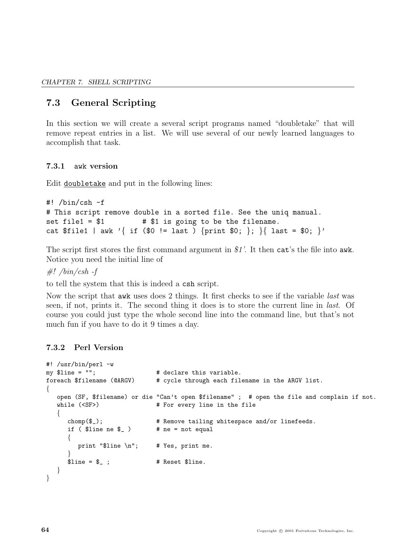CHAPTER 7. SHELL SCRIPTING

## 7.3 General Scripting

In this section we will create a several script programs named "doubletake" that will remove repeat entries in a list. We will use several of our newly learned languages to accomplish that task.

#### 7.3.1 awk version

Edit **doubletake** and put in the following lines:

```
#! /bin/csh -f
# This script remove double in a sorted file. See the uniq manual.
set file1 = $1 # $1 is going to be the filename.
cat $file1 | awk '{ if ($0 != last ) {print $0; }; }{ last = $0; }'
```
The script first stores the first command argument in \$1'. It then cat's the file into awk. Notice you need the initial line of

 $\#!$  /bin/csh -f

to tell the system that this is indeed a csh script.

Now the script that awk uses does 2 things. It first checks to see if the variable *last* was seen, if not, prints it. The second thing it does is to store the current line in last. Of course you could just type the whole second line into the command line, but that's not much fun if you have to do it 9 times a day.

### 7.3.2 Perl Version

```
#! /usr/bin/perl -w
my $line = "";<br>
# declare this variable.
foreach $filename (@ARGV) # cycle through each filename in the ARGV list.
\{open (SF, $filename) or die "Can't open $filename" ; # open the file and complain if not.
  while (<SF>) # For every line in the file
  {
     chomp($_); # Remove tailing whitespace and/or linefeeds.
     if (\text{line ne } $_{-}) # ne = not equal
     {
       print "$line \n"; # Yes, print me.
     }
     $line = $_'; # Reset $line.}
}
```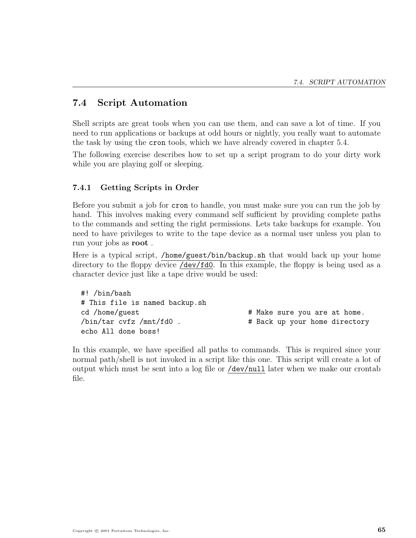# 7.4 Script Automation

Shell scripts are great tools when you can use them, and can save a lot of time. If you need to run applications or backups at odd hours or nightly, you really want to automate the task by using the cron tools, which we have already covered in chapter 5.4.

The following exercise describes how to set up a script program to do your dirty work while you are playing golf or sleeping.

## 7.4.1 Getting Scripts in Order

Before you submit a job for cron to handle, you must make sure you can run the job by hand. This involves making every command self sufficient by providing complete paths to the commands and setting the right permissions. Lets take backups for example. You need to have privileges to write to the tape device as a normal user unless you plan to run your jobs as root .

Here is a typical script, /home/guest/bin/backup.sh that would back up your home directory to the floppy device **/dev/fd0**. In this example, the floppy is being used as a character device just like a tape drive would be used:

#! /bin/bash # This file is named backup.sh cd /home/guest  $\qquad$  # Make sure you are at home. /bin/tar cvfz /mnt/fd0 . # Back up your home directory echo All done boss!

In this example, we have specified all paths to commands. This is required since your normal path/shell is not invoked in a script like this one. This script will create a lot of output which must be sent into a log file or /dev/null later when we make our crontab file.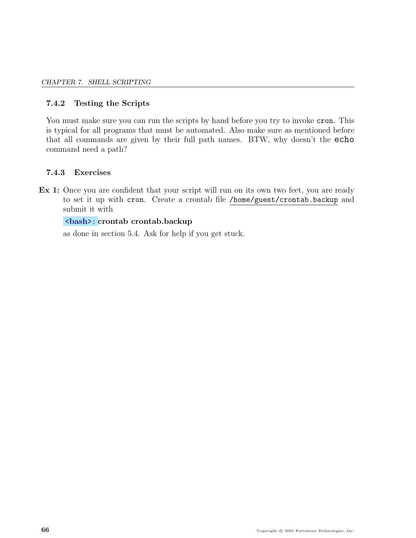## 7.4.2 Testing the Scripts

You must make sure you can run the scripts by hand before you try to invoke cron. This is typical for all programs that must be automated. Also make sure as mentioned before that all commands are given by their full path names. BTW, why doesn't the echo command need a path?

## 7.4.3 Exercises

Ex 1: Once you are confident that your script will run on its own two feet, you are ready to set it up with cron. Create a crontab file /home/guest/crontab.backup and submit it with

#### <bash>: crontab crontab.backup

as done in section 5.4. Ask for help if you get stuck.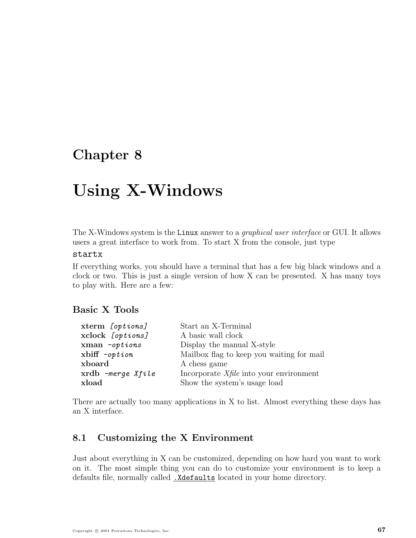# Chapter 8

# Using X-Windows

The X-Windows system is the Linux answer to a *graphical user interface* or GUI. It allows users a great interface to work from. To start X from the console, just type

## startx

If everything works, you should have a terminal that has a few big black windows and a clock or two. This is just a single version of how X can be presented. X has many toys to play with. Here are a few:

# Basic X Tools

| xterm [options]        | Start an X-Terminal                               |
|------------------------|---------------------------------------------------|
| xclock [options]       | A basic wall clock                                |
| $x$ man $\neg$ options | Display the manual X-style                        |
| $x$ biff $\neg$ option | Mailbox flag to keep you waiting for mail         |
| xboard                 | A chess game                                      |
| $xrdb$ -merge Xfile    | Incorporate $X$ <i>file</i> into your environment |
| xload                  | Show the system's usage load                      |

There are actually too many applications in X to list. Almost everything these days has an X interface.

# 8.1 Customizing the X Environment

Just about everything in X can be customized, depending on how hard you want to work on it. The most simple thing you can do to customize your environment is to keep a defaults file, normally called .Xdefaults located in your home directory.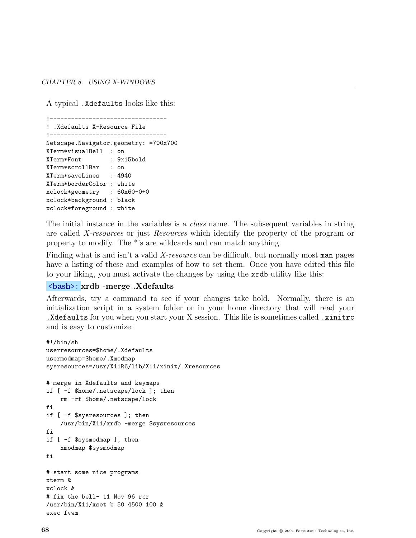A typical **.Xdefaults** looks like this:

```
!---------------------------------
! .Xdefaults X-Resource File
!---------------------------------
Netscape.Navigator.geometry: =700x700
XTerm*visualBell : on
XTerm*Font : 9x15bold
XTerm*scrollBar : on
XTerm*saveLines : 4940
XTerm*borderColor : white
xclock*geometry : 60x60-0+0
xclock*background : black
xclock*foreground : white
```
The initial instance in the variables is a *class* name. The subsequent variables in string are called X-resources or just Resources which identify the property of the program or property to modify. The \*'s are wildcards and can match anything.

Finding what is and isn't a valid X-resource can be difficult, but normally most man pages have a listing of these and examples of how to set them. Once you have edited this file to your liking, you must activate the changes by using the xrdb utility like this:

#### <bash>: xrdb -merge .Xdefaults

Afterwards, try a command to see if your changes take hold. Normally, there is an initialization script in a system folder or in your home directory that will read your . Xdefaults for you when you start your X session. This file is sometimes called .xinitro and is easy to customize:

```
#!/bin/sh
userresources=$home/.Xdefaults
usermodmap=$home/.Xmodmap
sysresources=/usr/X11R6/lib/X11/xinit/.Xresources
# merge in Xdefaults and keymaps
if [ -f $home/.netscape/lock ]; then
   rm -rf $home/.netscape/lock
fi
if [ -f $sysresources ]; then
   /usr/bin/X11/xrdb -merge $sysresources
fi
if [ -f $sysmodmap ]; then
   xmodmap $sysmodmap
fi
# start some nice programs
xterm &
xclock &
# fix the bell- 11 Nov 96 rcr
/usr/bin/X11/xset b 50 4500 100 &
exec fvwm
```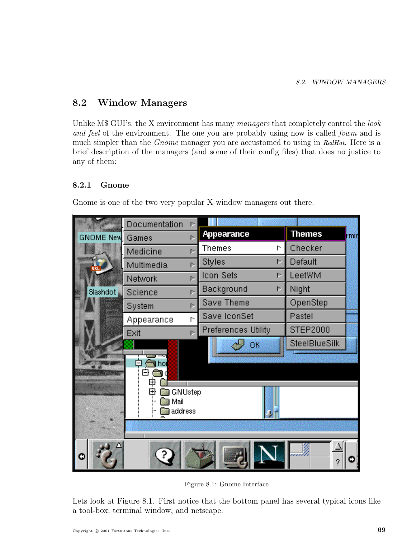# 8.2 Window Managers

Unlike M\$ GUI's, the X environment has many managers that completely control the look and feel of the environment. The one you are probably using now is called form and is much simpler than the *Gnome* manager you are accustomed to using in RedHat. Here is a brief description of the managers (and some of their config files) that does no justice to any of them:

## 8.2.1 Gnome

Gnome is one of the two very popular X-window managers out there.



Figure 8.1: Gnome Interface

Lets look at Figure 8.1. First notice that the bottom panel has several typical icons like a tool-box, terminal window, and netscape.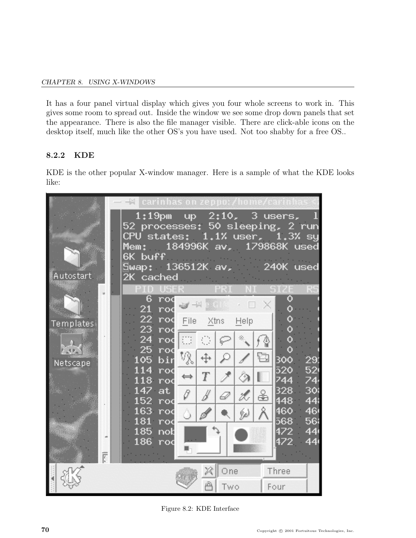It has a four panel virtual display which gives you four whole screens to work in. This gives some room to spread out. Inside the window we see some drop down panels that set the appearance. There is also the file manager visible. There are click-able icons on the desktop itself, much like the other OS's you have used. Not too shabby for a free OS..

## 8.2.2 KDE

KDE is the other popular X-window manager. Here is a sample of what the KDE looks like:



Figure 8.2: KDE Interface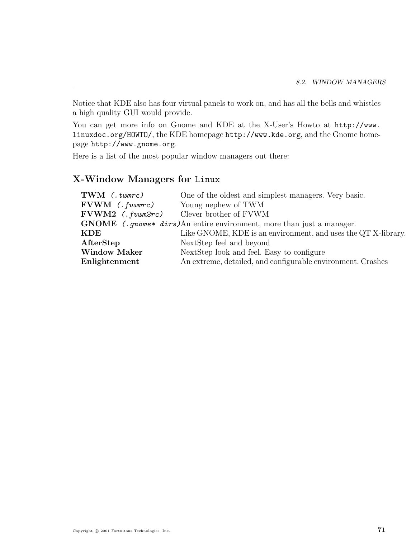Notice that KDE also has four virtual panels to work on, and has all the bells and whistles a high quality GUI would provide.

You can get more info on Gnome and KDE at the X-User's Howto at http://www. linuxdoc.org/HOWTO/, the KDE homepage http://www.kde.org, and the Gnome homepage http://www.gnome.org.

Here is a list of the most popular window managers out there:

# X-Window Managers for Linux

| One of the oldest and simplest managers. Very basic.                        |
|-----------------------------------------------------------------------------|
| Young nephew of TWM                                                         |
| Clever brother of FVWM                                                      |
| <b>GNOME</b> (.gnome* dirs)An entire environment, more than just a manager. |
| Like GNOME, KDE is an environment, and uses the QT X-library.               |
| NextStep feel and beyond                                                    |
| NextStep look and feel. Easy to configure                                   |
| An extreme, detailed, and configurable environment. Crashes                 |
|                                                                             |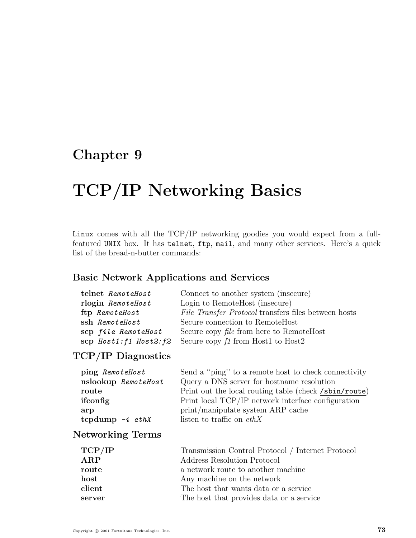### Chapter 9

# TCP/IP Networking Basics

Linux comes with all the TCP/IP networking goodies you would expect from a fullfeatured UNIX box. It has telnet, ftp, mail, and many other services. Here's a quick list of the bread-n-butter commands:

### Basic Network Applications and Services

| telnet RemoteHost               | Connect to another system (insecure)                         |
|---------------------------------|--------------------------------------------------------------|
| rlogin RemoteHost               | Login to RemoteHost (insecure)                               |
| ftp RemoteHost                  | <i>File Transfer Protocol</i> transfers files between hosts  |
| $\operatorname{ssh}$ RemoteHost | Secure connection to RemoteHost                              |
| scp file RemoteHost             | Secure copy <i>file</i> from here to RemoteHost              |
|                                 | scp $Host1: f1 Host2: f2$ Secure copy f1 from Host1 to Host2 |

### TCP/IP Diagnostics

| ping RemoteHost     | Send a "ping" to a remote host to check connectivity  |
|---------------------|-------------------------------------------------------|
| nslookup RemoteHost | Query a DNS server for hostname resolution            |
| route               | Print out the local routing table (check /sbin/route) |
| ifconfig            | Print local TCP/IP network interface configuration    |
| arp                 | print/manipulate system ARP cache                     |
| tcpdump $-i$ ethX   | listen to traffic on $ethX$                           |

### Networking Terms

| TCP/IP     | Transmission Control Protocol / Internet Protocol |
|------------|---------------------------------------------------|
| $\rm{ARP}$ | Address Resolution Protocol                       |
| route      | a network route to another machine                |
| host       | Any machine on the network                        |
| client     | The host that wants data or a service             |
| server     | The host that provides data or a service          |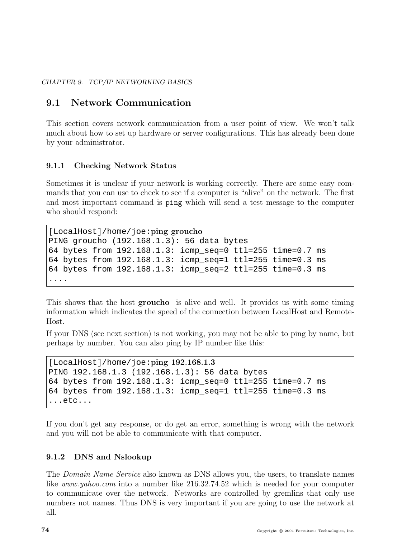#### 9.1 Network Communication

This section covers network communication from a user point of view. We won't talk much about how to set up hardware or server configurations. This has already been done by your administrator.

#### 9.1.1 Checking Network Status

Sometimes it is unclear if your network is working correctly. There are some easy commands that you can use to check to see if a computer is "alive" on the network. The first and most important command is ping which will send a test message to the computer who should respond:

```
[LocalHost]/home/joe:ping groucho
PING groucho (192.168.1.3): 56 data bytes
64 bytes from 192.168.1.3: icmp_seq=0 ttl=255 time=0.7 ms
64 bytes from 192.168.1.3: icmp_seq=1 ttl=255 time=0.3 ms
64 bytes from 192.168.1.3: icmp_seq=2 ttl=255 time=0.3 ms
....
```
This shows that the host groucho is alive and well. It provides us with some timing information which indicates the speed of the connection between LocalHost and Remote-Host.

If your DNS (see next section) is not working, you may not be able to ping by name, but perhaps by number. You can also ping by IP number like this:

[LocalHost]/home/joe:ping 192.168.1.3 PING 192.168.1.3 (192.168.1.3): 56 data bytes 64 bytes from 192.168.1.3: icmp\_seq=0 ttl=255 time=0.7 ms 64 bytes from 192.168.1.3: icmp\_seq=1 ttl=255 time=0.3 ms ...etc...

If you don't get any response, or do get an error, something is wrong with the network and you will not be able to communicate with that computer.

#### 9.1.2 DNS and Nslookup

The Domain Name Service also known as DNS allows you, the users, to translate names like *www.yahoo.com* into a number like 216.32.74.52 which is needed for your computer to communicate over the network. Networks are controlled by gremlins that only use numbers not names. Thus DNS is very important if you are going to use the network at all.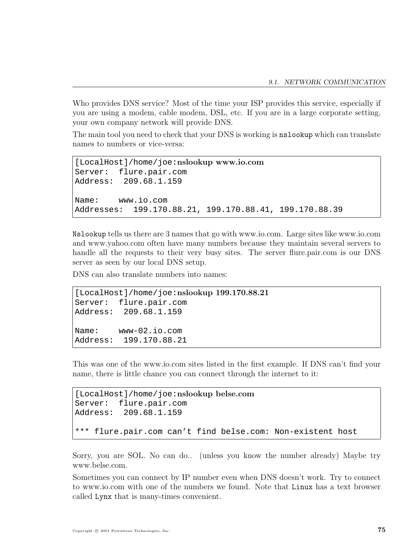Who provides DNS service? Most of the time your ISP provides this service, especially if you are using a modem, cable modem, DSL, etc. If you are in a large corporate setting, your own company network will provide DNS.

The main tool you need to check that your DNS is working is nslookup which can translate names to numbers or vice-versa:

```
[LocalHost]/home/joe:nslookup www.io.com
Server: flure.pair.com
Address: 209.68.1.159
Name: www.io.com
Addresses: 199.170.88.21, 199.170.88.41, 199.170.88.39
```
Nslookup tells us there are 3 names that go with www.io.com. Large sites like www.io.com and www.yahoo.com often have many numbers because they maintain several servers to handle all the requests to their very busy sites. The server flure.pair.com is our DNS server as seen by our local DNS setup.

DNS can also translate numbers into names:

```
[LocalHost]/home/joe:nslookup 199.170.88.21
Server: flure.pair.com
Address: 209.68.1.159
Name: www-02.io.com
Address: 199.170.88.21
```
This was one of the www.io.com sites listed in the first example. If DNS can't find your name, there is little chance you can connect through the internet to it:

```
[LocalHost]/home/joe:nslookup belse.com
Server: flure.pair.com
Address: 209.68.1.159
*** flure.pair.com can't find belse.com: Non-existent host
```
Sorry, you are SOL. No can do.. (unless you know the number already) Maybe try www.belse.com.

Sometimes you can connect by IP number even when DNS doesn't work. Try to connect to www.io.com with one of the numbers we found. Note that Linux has a text browser called Lynx that is many-times convenient.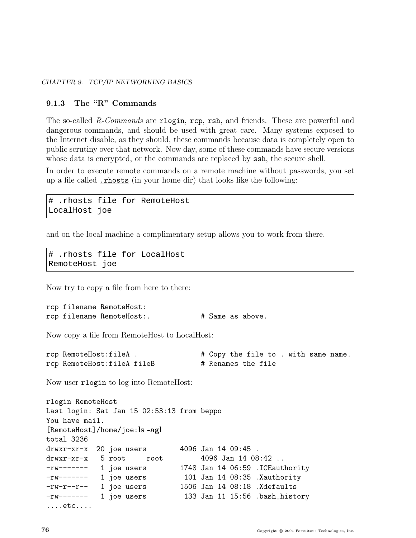#### 9.1.3 The "R" Commands

The so-called R-Commands are rlogin, rcp, rsh, and friends. These are powerful and dangerous commands, and should be used with great care. Many systems exposed to the Internet disable, as they should, these commands because data is completely open to public scrutiny over that network. Now day, some of these commands have secure versions whose data is encrypted, or the commands are replaced by ssh, the secure shell.

In order to execute remote commands on a remote machine without passwords, you set up a file called **rhosts** (in your home dir) that looks like the following:

# .rhosts file for RemoteHost LocalHost joe

and on the local machine a complimentary setup allows you to work from there.

```
# .rhosts file for LocalHost
RemoteHost joe
```
Now try to copy a file from here to there:

```
rcp filename RemoteHost:
rcp filename RemoteHost:. # Same as above.
```
Now copy a file from RemoteHost to LocalHost:

| rcp RemoteHost:fileA .     |                    |  |  |  | # Copy the file to . with same name. |
|----------------------------|--------------------|--|--|--|--------------------------------------|
| rcp RemoteHost:fileA fileB | # Renames the file |  |  |  |                                      |

Now user rlogin to log into RemoteHost:

```
rlogin RemoteHost
Last login: Sat Jan 15 02:53:13 from beppo
You have mail.
[RemoteHost]/home/joe:ls -agl
total 3236
drwxr-xr-x 20 joe users 4096 Jan 14 09:45.
drwxr-xr-x 5 root root 4096 Jan 14 08:42 ..
-rw------- 1 joe users 1748 Jan 14 06:59 .ICEauthority
-rw------- 1 joe users 101 Jan 14 08:35 .Xauthority
-rw-r--r-- 1 joe users 1506 Jan 14 08:18 .Xdefaults
-rw------- 1 joe users 133 Jan 11 15:56 .bash_history
....etc....
```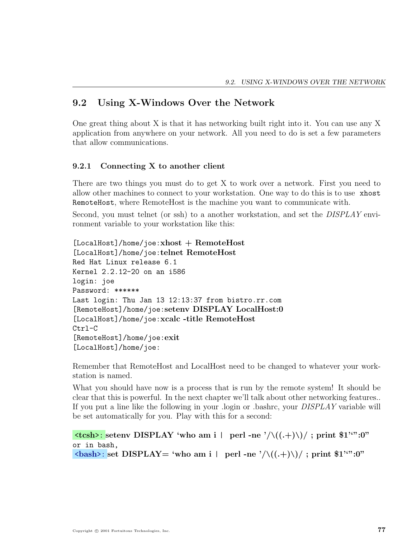#### 9.2 Using X-Windows Over the Network

One great thing about X is that it has networking built right into it. You can use any X application from anywhere on your network. All you need to do is set a few parameters that allow communications.

#### 9.2.1 Connecting X to another client

There are two things you must do to get X to work over a network. First you need to allow other machines to connect to your workstation. One way to do this is to use xhost RemoteHost, where RemoteHost is the machine you want to communicate with.

Second, you must telnet (or ssh) to a another workstation, and set the DISPLAY environment variable to your workstation like this:

```
[LocalHost] / home / joe: xhost + RemoteHost[LocalHost]/home/joe:telnet RemoteHost
Red Hat Linux release 6.1
Kernel 2.2.12-20 on an i586
login: joe
Password: ******
Last login: Thu Jan 13 12:13:37 from bistro.rr.com
[RemoteHost]/home/joe:setenv DISPLAY LocalHost:0
[LocalHost]/home/joe:xcalc -title RemoteHost
Ctrl-C
[RemoteHost]/home/joe:exit
[LocalHost]/home/joe:
```
Remember that RemoteHost and LocalHost need to be changed to whatever your workstation is named.

What you should have now is a process that is run by the remote system! It should be clear that this is powerful. In the next chapter we'll talk about other networking features.. If you put a line like the following in your .login or .bashrc, your DISPLAY variable will be set automatically for you. Play with this for a second:

```
\langle t \cosh \rangle: setenv DISPLAY 'who am i | perl -ne \sqrt{\langle (1+\rangle)} ; print $1<sup>''</sup>":0"
or in bash,
\langlebash>: set DISPLAY= 'who am i | perl -ne \langle \setminus ((,+) \setminus ) \rangle; print $1<sup>''</sup>":0"
```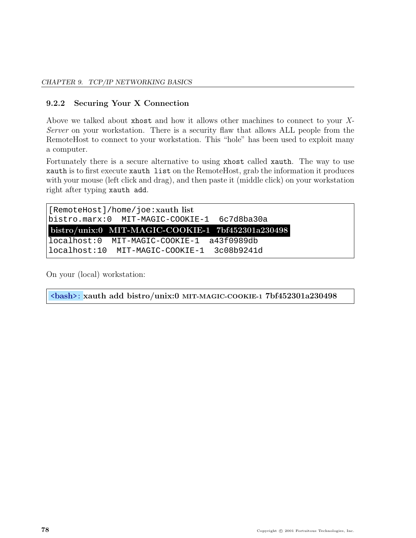#### 9.2.2 Securing Your X Connection

Above we talked about xhost and how it allows other machines to connect to your X-Server on your workstation. There is a security flaw that allows ALL people from the RemoteHost to connect to your workstation. This "hole" has been used to exploit many a computer.

Fortunately there is a secure alternative to using xhost called xauth. The way to use xauth is to first execute xauth list on the RemoteHost, grab the information it produces with your mouse (left click and drag), and then paste it (middle click) on your workstation right after typing xauth add.

| [RemoteHost]/home/joe:xauth list |                                                           |  |  |  |
|----------------------------------|-----------------------------------------------------------|--|--|--|
|                                  | bistro.marx:0 MIT-MAGIC-COOKIE-1 6c7d8ba30a               |  |  |  |
|                                  | $\vert$ bistro/unix:0 MIT-MAGIC-COOKIE-1 7bf452301a230498 |  |  |  |
|                                  | localhost:0 MIT-MAGIC-COOKIE-1 a43f0989db                 |  |  |  |
|                                  | localhost:10 MIT-MAGIC-COOKIE-1 3c08b9241d                |  |  |  |

On your (local) workstation:

<bash>: xauth add bistro/unix:0 MIT-MAGIC-COOKIE-1 7bf452301a230498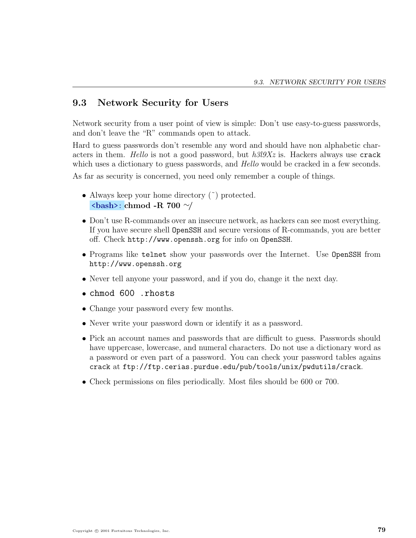#### 9.3 Network Security for Users

Network security from a user point of view is simple: Don't use easy-to-guess passwords, and don't leave the "R" commands open to attack.

Hard to guess passwords don't resemble any word and should have non alphabetic characters in them. Hello is not a good password, but  $h3l9Xz$  is. Hackers always use crack which uses a dictionary to guess passwords, and *Hello* would be cracked in a few seconds.

As far as security is concerned, you need only remember a couple of things.

- Always keep your home directory  $(\tilde{\ })$  protected. <bash>: chmod -R 700 ∼/
- Don't use R-commands over an insecure network, as hackers can see most everything. If you have secure shell OpenSSH and secure versions of R-commands, you are better off. Check http://www.openssh.org for info on OpenSSH.
- Programs like telnet show your passwords over the Internet. Use OpenSSH from http://www.openssh.org
- Never tell anyone your password, and if you do, change it the next day.
- chmod 600 .rhosts
- Change your password every few months.
- Never write your password down or identify it as a password.
- Pick an account names and passwords that are difficult to guess. Passwords should have uppercase, lowercase, and numeral characters. Do not use a dictionary word as a password or even part of a password. You can check your password tables agains crack at ftp://ftp.cerias.purdue.edu/pub/tools/unix/pwdutils/crack.
- Check permissions on files periodically. Most files should be 600 or 700.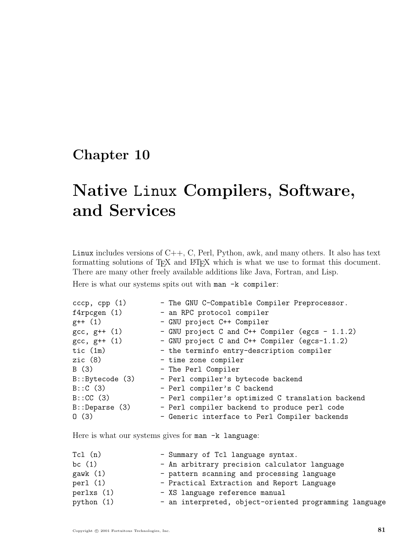### Chapter 10

# Native Linux Compilers, Software, and Services

Linux includes versions of  $C++$ , C, Perl, Python, awk, and many others. It also has text formatting solutions of T<sub>E</sub>X and L<sup>AT</sup>E<sub>X</sub> which is what we use to format this document. There are many other freely available additions like Java, Fortran, and Lisp.

Here is what our systems spits out with man -k compiler:

| $cccp$ , $cpp(1)$               | - The GNU C-Compatible Compiler Preprocessor.     |
|---------------------------------|---------------------------------------------------|
| f4rpcgen (1)                    | - an RPC protocol compiler                        |
| $g++(1)$                        | - GNU project C++ Compiler                        |
| $\text{gcc}, \text{g}^{++} (1)$ | - GNU project C and C++ Compiler (egcs - 1.1.2)   |
| $\text{gcc}, \text{g}^{++} (1)$ | - GNU project C and C++ Compiler (egcs-1.1.2)     |
| tic $(1m)$                      | - the terminfo entry-description compiler         |
| zic $(8)$                       | - time zone compiler                              |
| B(3)                            | - The Perl Compiler                               |
| $B::Bytecode$ (3)               | - Perl compiler's bytecode backend                |
| $B::C$ (3)                      | - Perl compiler's C backend                       |
| $B::CC$ (3)                     | - Perl compiler's optimized C translation backend |
| $B$ ::Deparse $(3)$             | - Perl compiler backend to produce perl code      |
| 0(3)                            | - Generic interface to Perl Compiler backends     |
|                                 |                                                   |

Here is what our systems gives for man  $-k$  language:

| Tc1 (n)    | - Summary of Tcl language syntax.                      |
|------------|--------------------------------------------------------|
| bc $(1)$   | - An arbitrary precision calculator language           |
| gawk $(1)$ | - pattern scanning and processing language             |
| $perl$ (1) | - Practical Extraction and Report Language             |
| perlxs (1) | - XS language reference manual                         |
| python (1) | - an interpreted, object-oriented programming language |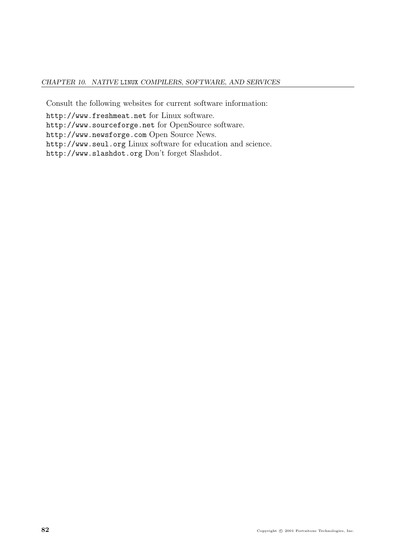Consult the following websites for current software information:

http://www.freshmeat.net for Linux software. http://www.sourceforge.net for OpenSource software. http://www.newsforge.com Open Source News. http://www.seul.org Linux software for education and science. http://www.slashdot.org Don't forget Slashdot.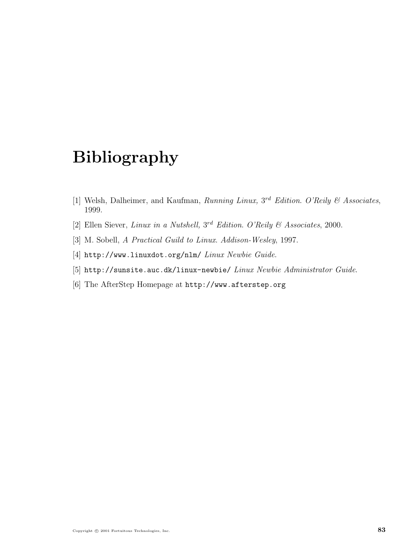## Bibliography

- [1] Welsh, Dalheimer, and Kaufman, Running Linux,  $3^{rd}$  Edition. O'Reily & Associates, 1999.
- [2] Ellen Siever, Linux in a Nutshell,  $3^{rd}$  Edition. O'Reily & Associates, 2000.
- [3] M. Sobell, A Practical Guild to Linux. Addison-Wesley, 1997.
- [4] http://www.linuxdot.org/nlm/ Linux Newbie Guide.
- [5] http://sunsite.auc.dk/linux-newbie/ Linux Newbie Administrator Guide.
- [6] The AfterStep Homepage at http://www.afterstep.org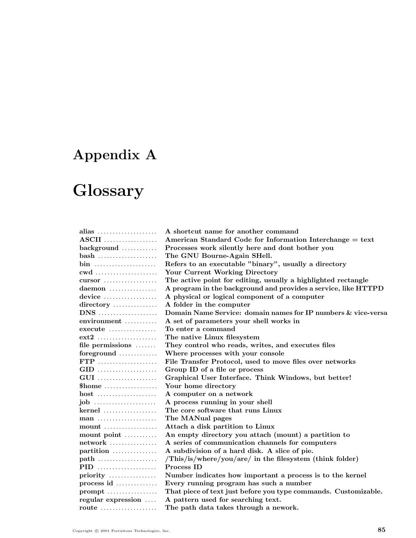# Appendix A

# Glossary

| alias                                      | A shortcut name for another command                             |
|--------------------------------------------|-----------------------------------------------------------------|
| <b>ASCII</b>                               | American Standard Code for Information Interchange $=$ text     |
| background                                 | Processes work silently here and dont bother you                |
| $bash \dots \dots \dots \dots \dots \dots$ | The GNU Bourne-Again SHell.                                     |
| $bin$                                      | Refers to an executable "binary", usually a directory           |
| cwd                                        | Your Current Working Directory                                  |
| $cursor$                                   | The active point for editing, usually a highlighted rectangle   |
| daemon                                     | A program in the background and provides a service, like HTTPD  |
| device                                     | A physical or logical component of a computer                   |
| directory                                  | A folder in the computer                                        |
| $DNS$                                      | Domain Name Service: domain names for IP numbers & vice-versa   |
| environment                                | A set of parameters your shell works in                         |
|                                            | To enter a command                                              |
| $ext2$                                     | The native Linux filesystem                                     |
| file permissions                           | They control who reads, writes, and executes files              |
| foreground                                 | Where processes with your console                               |
| <b>FTP</b>                                 | File Transfer Protocol, used to move files over networks        |
| $GID$                                      | Group ID of a file or process                                   |
| $GUI$                                      | Graphical User Interface. Think Windows, but better!            |
| $$home \dots \dots \dots \dots \dots$      | Your home directory                                             |
|                                            | A computer on a network                                         |
| $job$                                      | A process running in your shell                                 |
| kernel                                     | The core software that runs Linux                               |
| $man$                                      | The MANual pages                                                |
| mount                                      | Attach a disk partition to Linux                                |
| mount point                                | An empty directory you attach (mount) a partition to            |
| network                                    | A series of communication channels for computers                |
| partition                                  | A subdivision of a hard disk. A slice of pie.                   |
| $path$                                     | /This/is/where/you/are/ in the filesystem (think folder)        |
| $PID$                                      | Process ID                                                      |
| priority                                   | Number indicates how important a process is to the kernel       |
| $process id$                               | Every running program has such a number                         |
| $prompt$                                   | That piece of text just before you type commands. Customizable. |
| regular expression                         | A pattern used for searching text.                              |
| route                                      | The path data takes through a nework.                           |
|                                            |                                                                 |